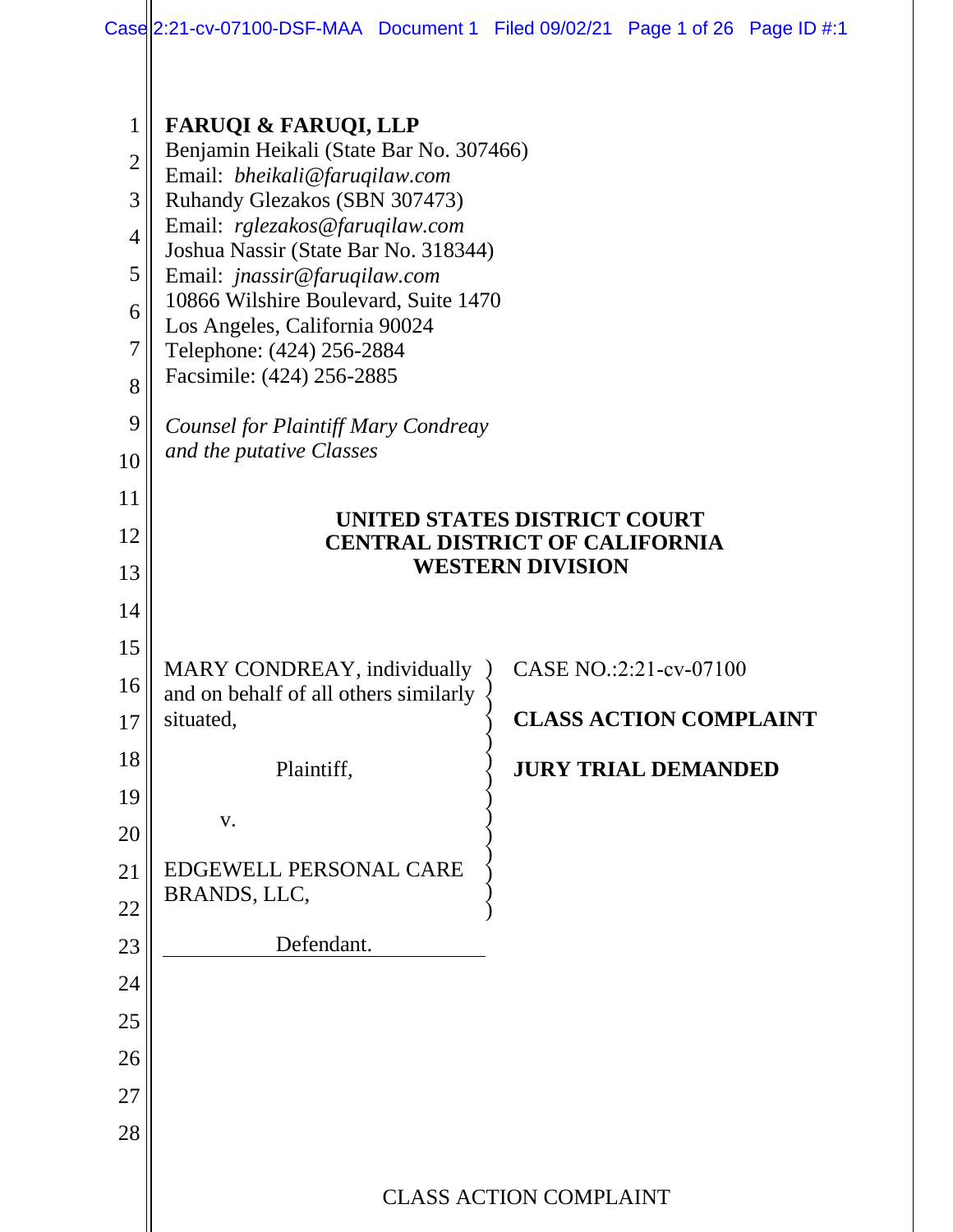| $\mathbf 1$    | <b>FARUQI &amp; FARUQI, LLP</b>                                                                                                                |                               |  |  |  |
|----------------|------------------------------------------------------------------------------------------------------------------------------------------------|-------------------------------|--|--|--|
| $\overline{2}$ | Benjamin Heikali (State Bar No. 307466)                                                                                                        |                               |  |  |  |
| 3              | Email: bheikali@faruqilaw.com<br>Ruhandy Glezakos (SBN 307473)                                                                                 |                               |  |  |  |
| $\overline{4}$ | Email: rglezakos@faruqilaw.com<br>Joshua Nassir (State Bar No. 318344)<br>Email: jnassir@faruqilaw.com<br>10866 Wilshire Boulevard, Suite 1470 |                               |  |  |  |
| 5              |                                                                                                                                                |                               |  |  |  |
| 6              |                                                                                                                                                |                               |  |  |  |
| 7              | Los Angeles, California 90024<br>Telephone: (424) 256-2884<br>Facsimile: (424) 256-2885                                                        |                               |  |  |  |
| 8              |                                                                                                                                                |                               |  |  |  |
| 9              | <b>Counsel for Plaintiff Mary Condreay</b>                                                                                                     |                               |  |  |  |
| 10             | and the putative Classes                                                                                                                       |                               |  |  |  |
| 11             |                                                                                                                                                |                               |  |  |  |
| 12             | UNITED STATES DISTRICT COURT<br><b>CENTRAL DISTRICT OF CALIFORNIA</b>                                                                          |                               |  |  |  |
| 13             | <b>WESTERN DIVISION</b>                                                                                                                        |                               |  |  |  |
| 14             |                                                                                                                                                |                               |  |  |  |
| 15             |                                                                                                                                                |                               |  |  |  |
| 16             | MARY CONDREAY, individually<br>and on behalf of all others similarly                                                                           | CASE NO.:2:21-cv-07100        |  |  |  |
| 17             | situated,                                                                                                                                      | <b>CLASS ACTION COMPLAINT</b> |  |  |  |
| 18             | Plaintiff.                                                                                                                                     | <b>JURY TRIAL DEMANDED</b>    |  |  |  |
| 19             |                                                                                                                                                |                               |  |  |  |
| 20             | V.                                                                                                                                             |                               |  |  |  |
| 21             | EDGEWELL PERSONAL CARE                                                                                                                         |                               |  |  |  |
| 22             | BRANDS, LLC,                                                                                                                                   |                               |  |  |  |
| 23             | Defendant.                                                                                                                                     |                               |  |  |  |
| 24             |                                                                                                                                                |                               |  |  |  |
| 25             |                                                                                                                                                |                               |  |  |  |
| 26             |                                                                                                                                                |                               |  |  |  |
| 27             |                                                                                                                                                |                               |  |  |  |
| 28             |                                                                                                                                                |                               |  |  |  |
|                |                                                                                                                                                |                               |  |  |  |
|                | <b>CLASS ACTION COMPLAINT</b>                                                                                                                  |                               |  |  |  |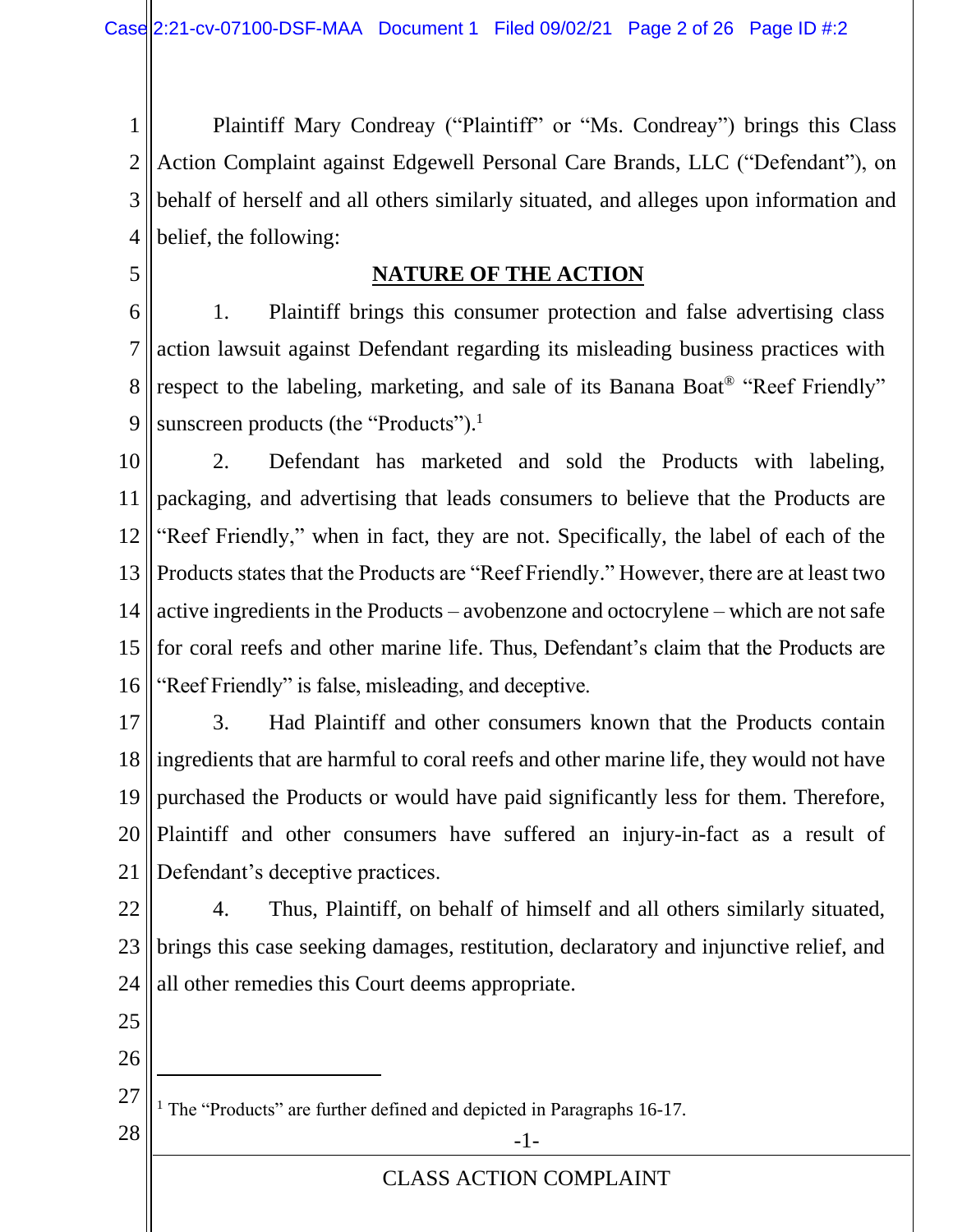1 2 3 4 Plaintiff Mary Condreay ("Plaintiff" or "Ms. Condreay") brings this Class Action Complaint against Edgewell Personal Care Brands, LLC ("Defendant"), on behalf of herself and all others similarly situated, and alleges upon information and belief, the following:

5

## **NATURE OF THE ACTION**

6 7 8 9 1. Plaintiff brings this consumer protection and false advertising class action lawsuit against Defendant regarding its misleading business practices with respect to the labeling, marketing, and sale of its Banana Boat® "Reef Friendly" sunscreen products (the "Products").<sup>1</sup>

10 11 12 13 14 15 16 2. Defendant has marketed and sold the Products with labeling, packaging, and advertising that leads consumers to believe that the Products are "Reef Friendly," when in fact, they are not. Specifically, the label of each of the Products states that the Products are "Reef Friendly." However, there are at least two active ingredients in the Products – avobenzone and octocrylene – which are not safe for coral reefs and other marine life. Thus, Defendant's claim that the Products are "Reef Friendly" is false, misleading, and deceptive.

17 18 19 20 21 3. Had Plaintiff and other consumers known that the Products contain ingredients that are harmful to coral reefs and other marine life, they would not have purchased the Products or would have paid significantly less for them. Therefore, Plaintiff and other consumers have suffered an injury-in-fact as a result of Defendant's deceptive practices.

22 23 24 4. Thus, Plaintiff, on behalf of himself and all others similarly situated, brings this case seeking damages, restitution, declaratory and injunctive relief, and all other remedies this Court deems appropriate.

- 25
- 26

27 <sup>1</sup> The "Products" are further defined and depicted in Paragraphs 16-17.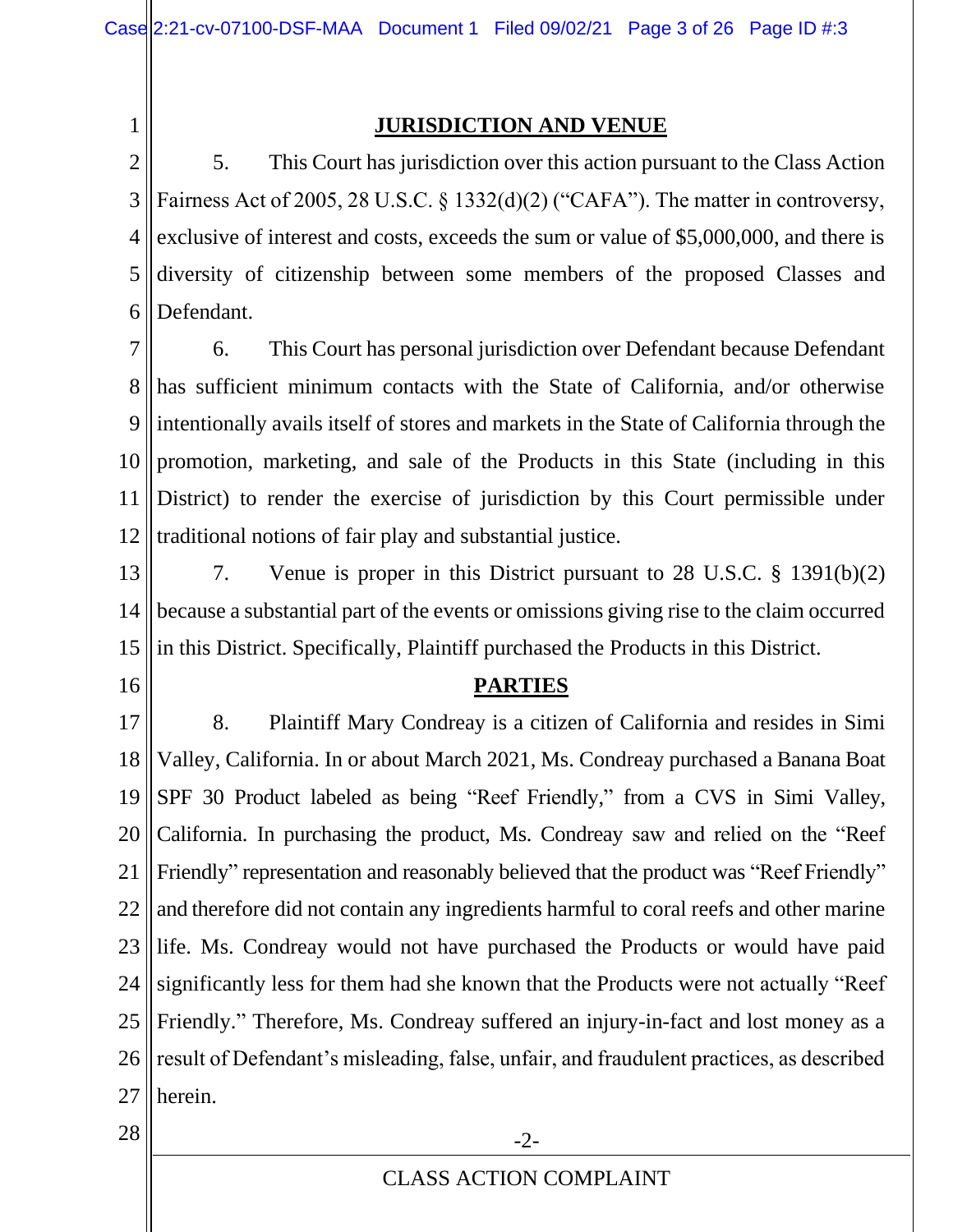1

## **JURISDICTION AND VENUE**

2 3 4 5 6 5. This Court has jurisdiction over this action pursuant to the Class Action Fairness Act of 2005, 28 U.S.C. § 1332(d)(2) ("CAFA"). The matter in controversy, exclusive of interest and costs, exceeds the sum or value of \$5,000,000, and there is diversity of citizenship between some members of the proposed Classes and Defendant.

7 8 9 10 11 12 6. This Court has personal jurisdiction over Defendant because Defendant has sufficient minimum contacts with the State of California, and/or otherwise intentionally avails itself of stores and markets in the State of California through the promotion, marketing, and sale of the Products in this State (including in this District) to render the exercise of jurisdiction by this Court permissible under traditional notions of fair play and substantial justice.

- 13 14 15 7. Venue is proper in this District pursuant to 28 U.S.C. § 1391(b)(2) because a substantial part of the events or omissions giving rise to the claim occurred in this District. Specifically, Plaintiff purchased the Products in this District.
- 16

#### **PARTIES**

17 18 19 20 21 22 23 24 25 26 27 8. Plaintiff Mary Condreay is a citizen of California and resides in Simi Valley, California. In or about March 2021, Ms. Condreay purchased a Banana Boat SPF 30 Product labeled as being "Reef Friendly," from a CVS in Simi Valley, California. In purchasing the product, Ms. Condreay saw and relied on the "Reef Friendly" representation and reasonably believed that the product was "Reef Friendly" and therefore did not contain any ingredients harmful to coral reefs and other marine life. Ms. Condreay would not have purchased the Products or would have paid significantly less for them had she known that the Products were not actually "Reef Friendly." Therefore, Ms. Condreay suffered an injury-in-fact and lost money as a result of Defendant's misleading, false, unfair, and fraudulent practices, as described herein.

 $28$   $\parallel$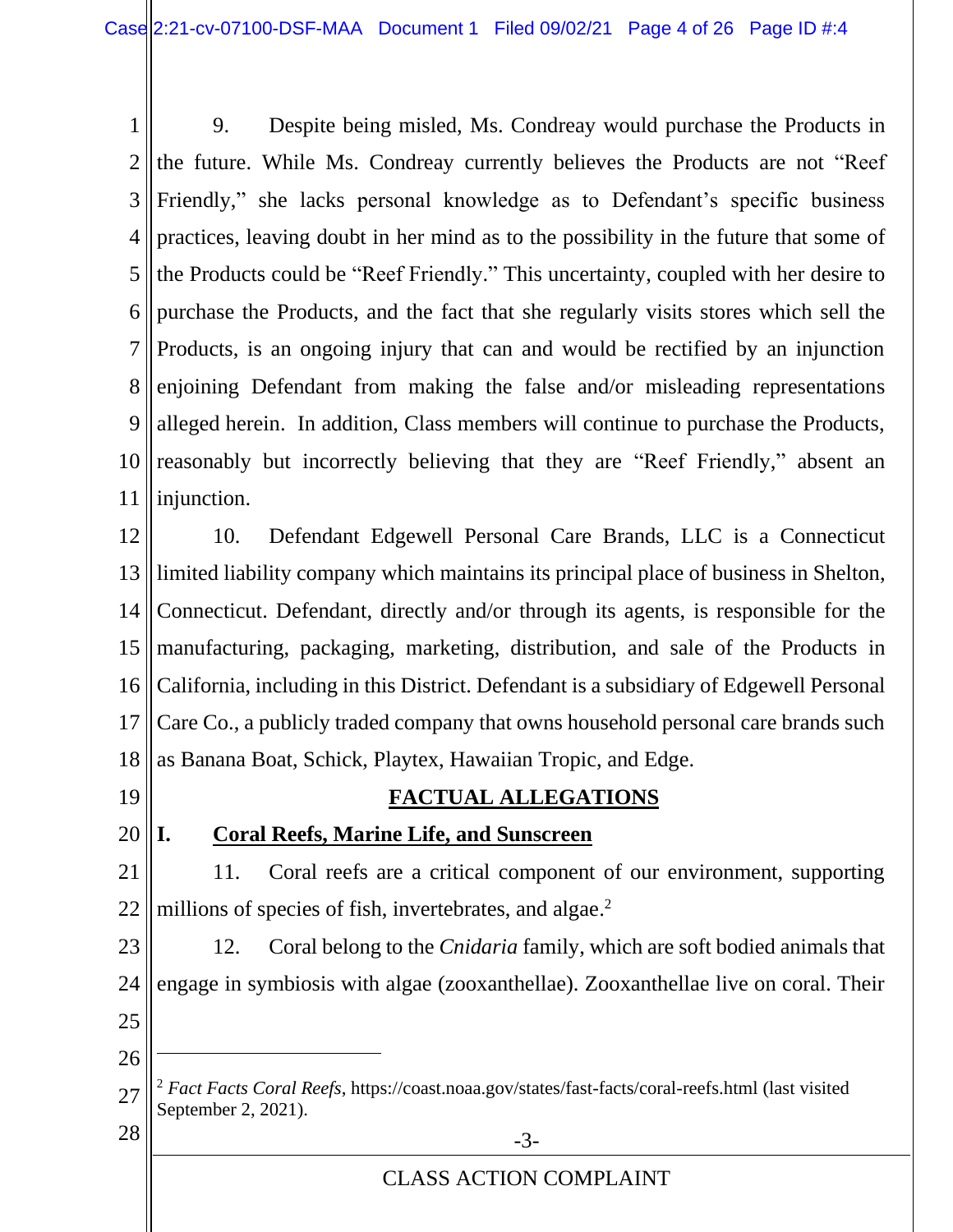1 2 3 4 5 6 7 8 9 10 11 9. Despite being misled, Ms. Condreay would purchase the Products in the future. While Ms. Condreay currently believes the Products are not "Reef Friendly," she lacks personal knowledge as to Defendant's specific business practices, leaving doubt in her mind as to the possibility in the future that some of the Products could be "Reef Friendly." This uncertainty, coupled with her desire to purchase the Products, and the fact that she regularly visits stores which sell the Products, is an ongoing injury that can and would be rectified by an injunction enjoining Defendant from making the false and/or misleading representations alleged herein. In addition, Class members will continue to purchase the Products, reasonably but incorrectly believing that they are "Reef Friendly," absent an injunction.

12 13 14 15 16 17 18 10. Defendant Edgewell Personal Care Brands, LLC is a Connecticut limited liability company which maintains its principal place of business in Shelton, Connecticut. Defendant, directly and/or through its agents, is responsible for the manufacturing, packaging, marketing, distribution, and sale of the Products in California, including in this District. Defendant is a subsidiary of Edgewell Personal Care Co., a publicly traded company that owns household personal care brands such as Banana Boat, Schick, Playtex, Hawaiian Tropic, and Edge.

19

## **FACTUAL ALLEGATIONS**

## 20

# **I. Coral Reefs, Marine Life, and Sunscreen**

21 22 11. Coral reefs are a critical component of our environment, supporting millions of species of fish, invertebrates, and algae.<sup>2</sup>

23 24 25 12. Coral belong to the *Cnidaria* family, which are soft bodied animals that engage in symbiosis with algae (zooxanthellae). Zooxanthellae live on coral. Their

26

<sup>27</sup>  $28 \parallel$  -3-<sup>2</sup> *Fact Facts Coral Reefs*,<https://coast.noaa.gov/states/fast-facts/coral-reefs.html> (last visited September 2, 2021).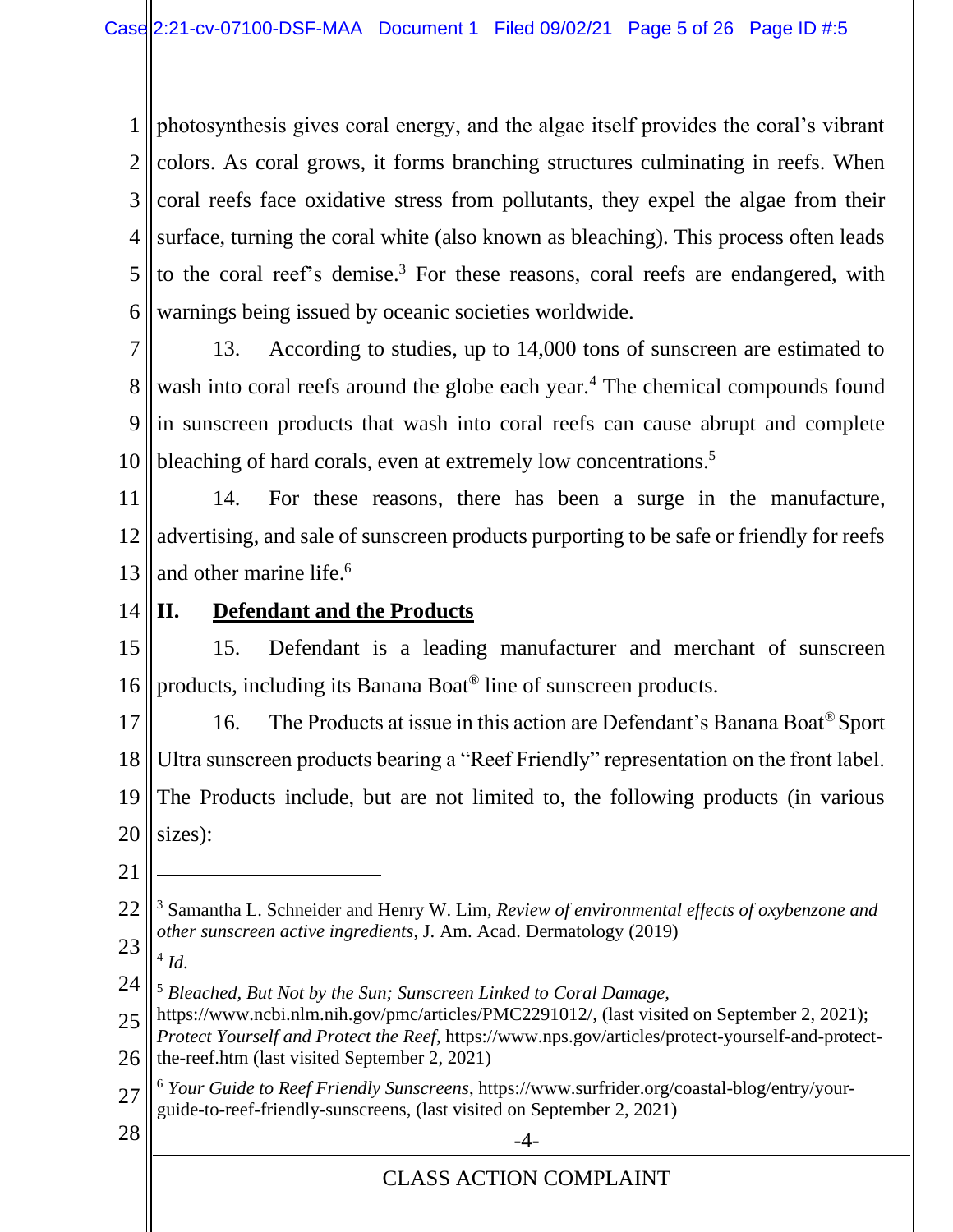1 2 3 4 5 6 photosynthesis gives coral energy, and the algae itself provides the coral's vibrant colors. As coral grows, it forms branching structures culminating in reefs. When coral reefs face oxidative stress from pollutants, they expel the algae from their surface, turning the coral white (also known as bleaching). This process often leads to the coral reef's demise.<sup>3</sup> For these reasons, coral reefs are endangered, with warnings being issued by oceanic societies worldwide.

7

8 9 10 13. According to studies, up to 14,000 tons of sunscreen are estimated to wash into coral reefs around the globe each year.<sup>4</sup> The chemical compounds found in sunscreen products that wash into coral reefs can cause abrupt and complete bleaching of hard corals, even at extremely low concentrations.<sup>5</sup>

11 12 13 14. For these reasons, there has been a surge in the manufacture, advertising, and sale of sunscreen products purporting to be safe or friendly for reefs and other marine life. 6

14

## **II. Defendant and the Products**

15 16 15. Defendant is a leading manufacturer and merchant of sunscreen products, including its Banana Boat® line of sunscreen products.

17 18 19 20 16. The Products at issue in this action are Defendant's Banana Boat® Sport Ultra sunscreen products bearing a "Reef Friendly" representation on the front label. The Products include, but are not limited to, the following products (in various sizes):

21

23 4 *Id*.

24 <sup>5</sup> *Bleached, But Not by the Sun; Sunscreen Linked to Coral Damage,* 

27 <sup>6</sup> *Your Guide to Reef Friendly Sunscreens*, https://www.surfrider.org/coastal-blog/entry/yourguide-to-reef-friendly-sunscreens, (last visited on September 2, 2021)

- 
- $28 \parallel$   $-4$

<sup>22</sup> <sup>3</sup> Samantha L. Schneider and Henry W. Lim*, Review of environmental effects of oxybenzone and other sunscreen active ingredients*, J. Am. Acad. Dermatology (2019)

<sup>25</sup> 26 https://www.ncbi.nlm.nih.gov/pmc/articles/PMC2291012/*,* (last visited on September 2, 2021); *Protect Yourself and Protect the Reef*, [https://www.nps.gov/articles/protect-yourself-and-protect](https://www.nps.gov/articles/protect-yourself-and-protect-the-reef.htm)[the-reef.htm](https://www.nps.gov/articles/protect-yourself-and-protect-the-reef.htm) (last visited September 2, 2021)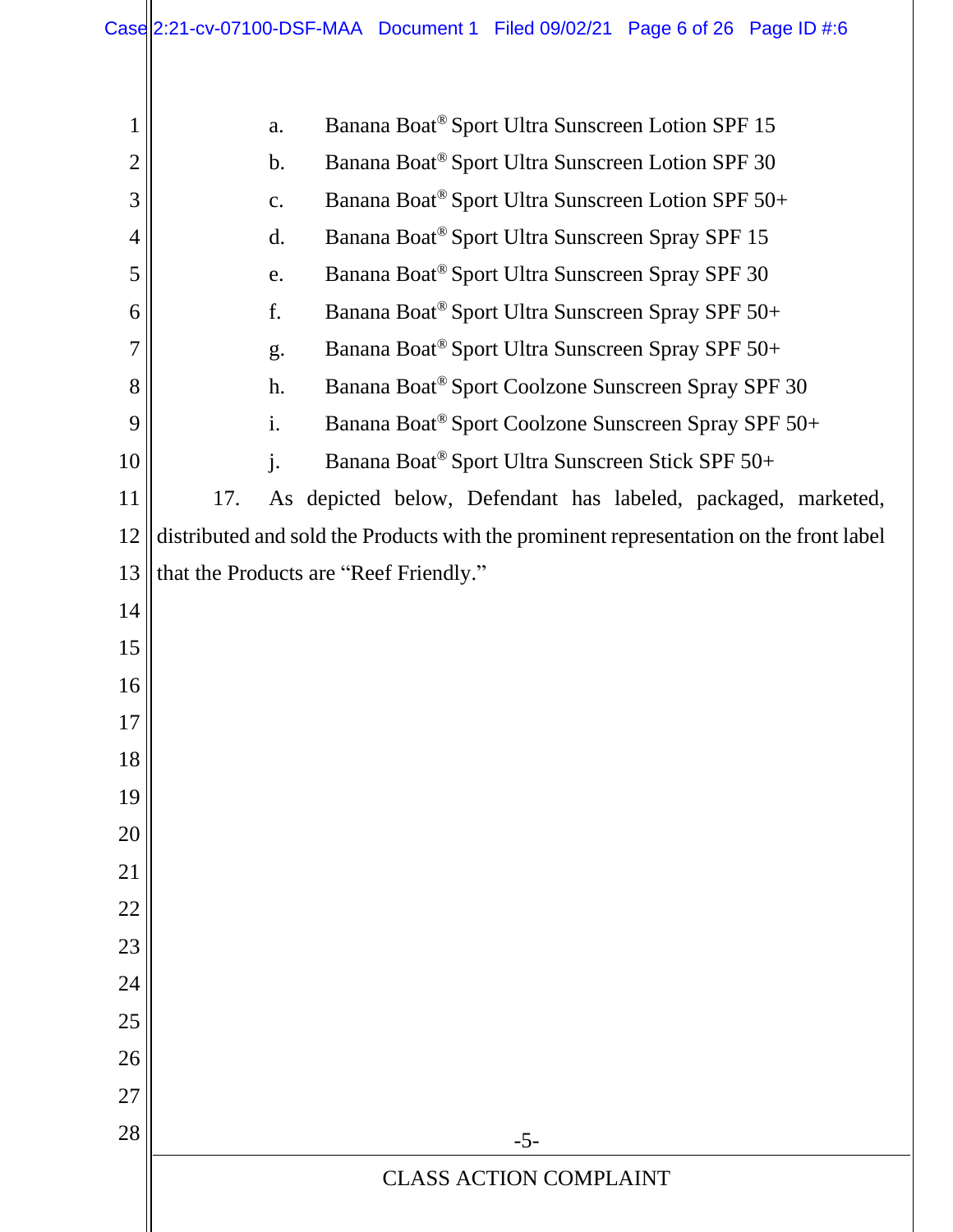|                | Case $ 2:21$ -cv-07100-DSF-MAA Document 1 Filed 09/02/21 Page 6 of 26 Page ID #:6      |  |  |  |
|----------------|----------------------------------------------------------------------------------------|--|--|--|
| $\mathbf{1}$   | Banana Boat <sup>®</sup> Sport Ultra Sunscreen Lotion SPF 15<br>a.                     |  |  |  |
| $\overline{2}$ | Banana Boat <sup>®</sup> Sport Ultra Sunscreen Lotion SPF 30<br>$\mathbf b$ .          |  |  |  |
| 3              | Banana Boat® Sport Ultra Sunscreen Lotion SPF 50+<br>c.                                |  |  |  |
| $\overline{4}$ | Banana Boat <sup>®</sup> Sport Ultra Sunscreen Spray SPF 15<br>d.                      |  |  |  |
| 5              | Banana Boat <sup>®</sup> Sport Ultra Sunscreen Spray SPF 30<br>e.                      |  |  |  |
| 6              | Banana Boat® Sport Ultra Sunscreen Spray SPF 50+<br>f.                                 |  |  |  |
| $\overline{7}$ | Banana Boat® Sport Ultra Sunscreen Spray SPF 50+<br>g.                                 |  |  |  |
| 8              | Banana Boat <sup>®</sup> Sport Coolzone Sunscreen Spray SPF 30<br>h.                   |  |  |  |
| 9              | i.<br>Banana Boat <sup>®</sup> Sport Coolzone Sunscreen Spray SPF 50+                  |  |  |  |
| 10             | $\mathbf{j}$ .<br>Banana Boat® Sport Ultra Sunscreen Stick SPF 50+                     |  |  |  |
| 11             | As depicted below, Defendant has labeled, packaged, marketed,<br>17.                   |  |  |  |
| 12             | distributed and sold the Products with the prominent representation on the front label |  |  |  |
| 13             | that the Products are "Reef Friendly."                                                 |  |  |  |
| 14             |                                                                                        |  |  |  |
| 15             |                                                                                        |  |  |  |
| 16             |                                                                                        |  |  |  |
| 17             |                                                                                        |  |  |  |
| 18             |                                                                                        |  |  |  |
| 19             |                                                                                        |  |  |  |
| 20             |                                                                                        |  |  |  |
| 21             |                                                                                        |  |  |  |
| 22             |                                                                                        |  |  |  |
| 23             |                                                                                        |  |  |  |
| 24             |                                                                                        |  |  |  |
| 25             |                                                                                        |  |  |  |
| 26             |                                                                                        |  |  |  |
| 27             |                                                                                        |  |  |  |
| 28             | $-5-$                                                                                  |  |  |  |
|                | <b>CLASS ACTION COMPLAINT</b>                                                          |  |  |  |
|                |                                                                                        |  |  |  |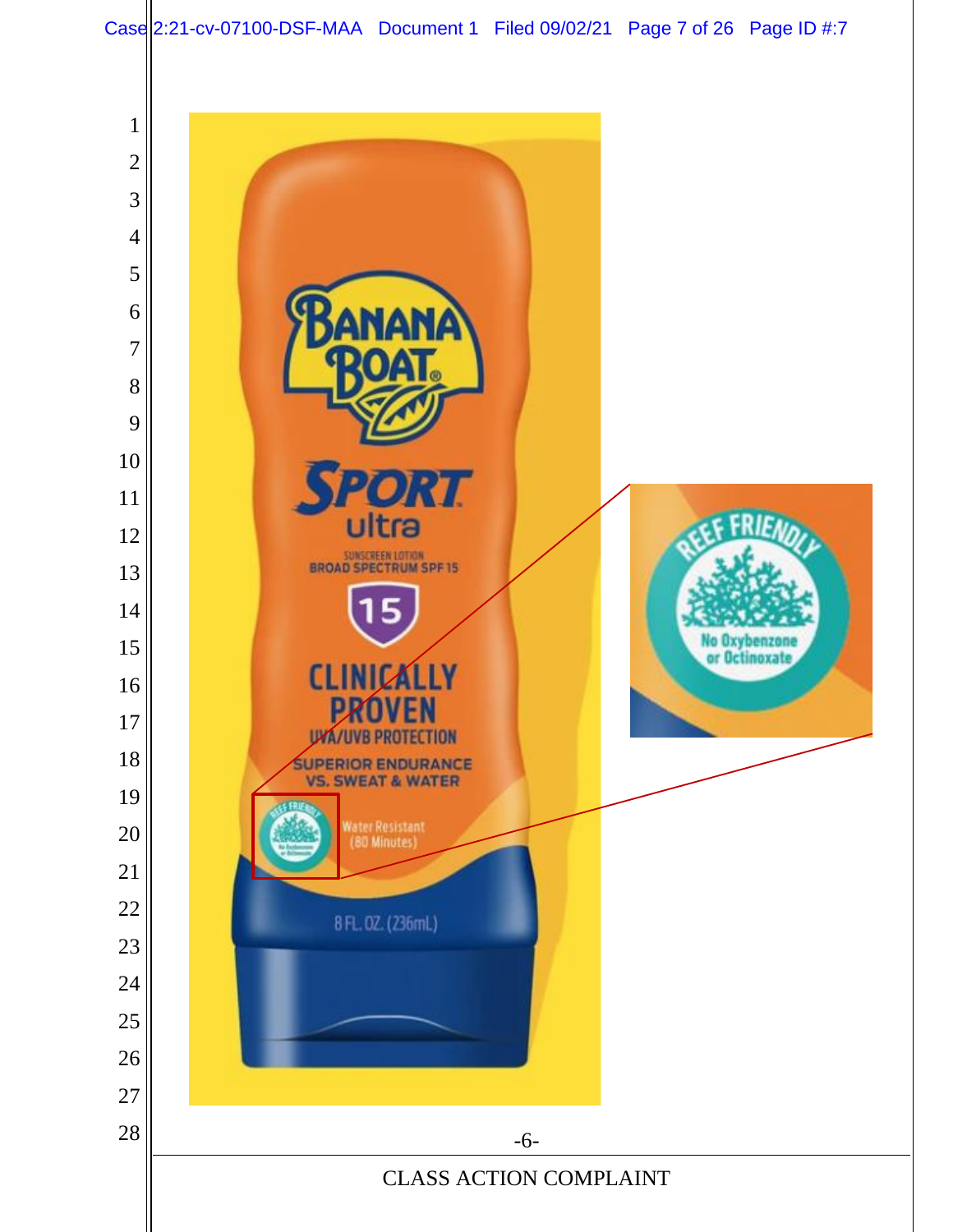Case 2:21-cv-07100-DSF-MAA Document 1 Filed 09/02/21 Page 7 of 26 Page ID #:7

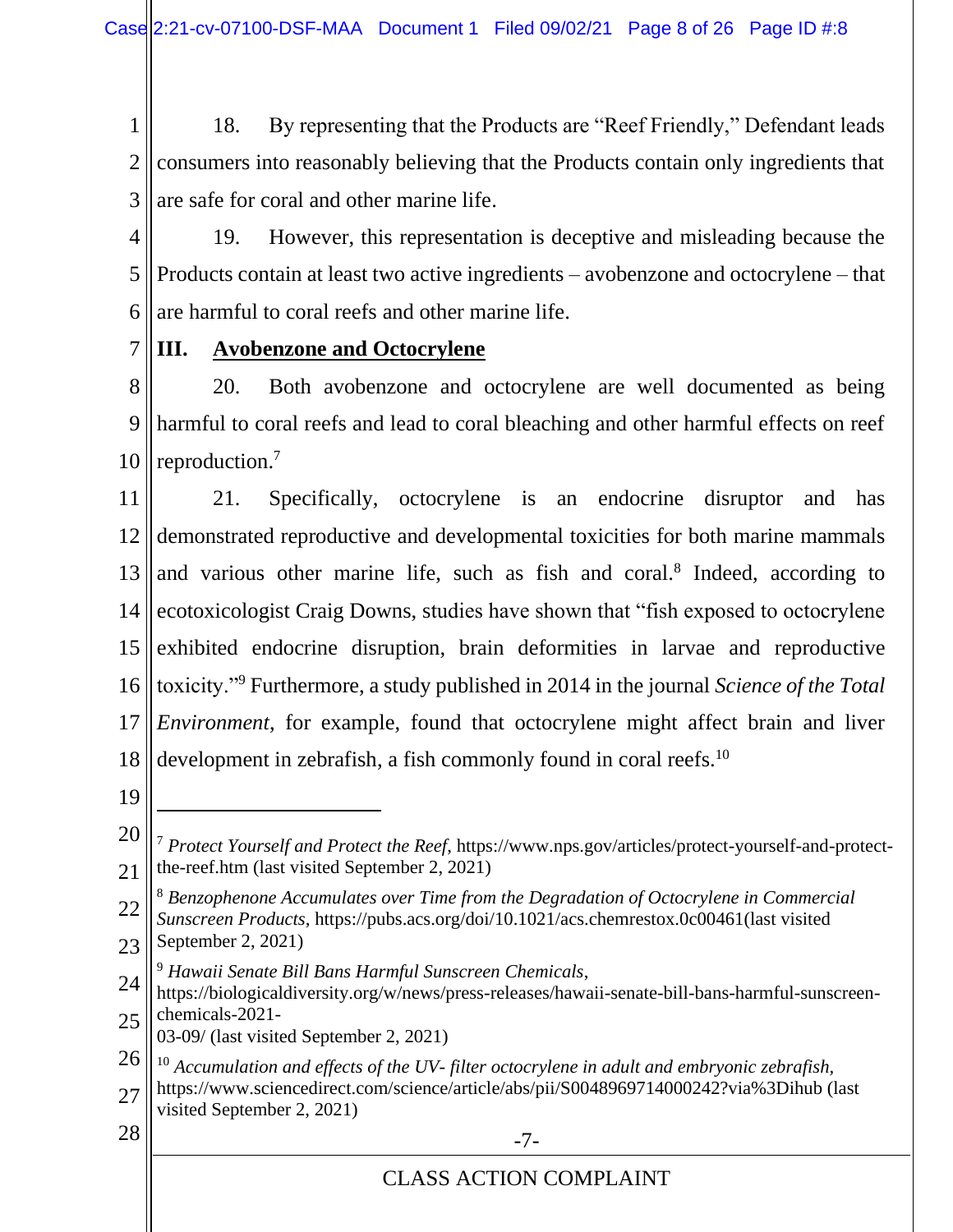1 2 3 18. By representing that the Products are "Reef Friendly," Defendant leads consumers into reasonably believing that the Products contain only ingredients that are safe for coral and other marine life.

4

7

5 6 19. However, this representation is deceptive and misleading because the Products contain at least two active ingredients – avobenzone and octocrylene – that are harmful to coral reefs and other marine life.

**III. Avobenzone and Octocrylene**

8 9 10 20. Both avobenzone and octocrylene are well documented as being harmful to coral reefs and lead to coral bleaching and other harmful effects on reef reproduction.<sup>7</sup>

11 12 13 14 15 16 17 18 21. Specifically, octocrylene is an endocrine disruptor and has demonstrated reproductive and developmental toxicities for both marine mammals and various other marine life, such as fish and coral.<sup>8</sup> Indeed, according to ecotoxicologist Craig Downs, studies have shown that "fish exposed to octocrylene exhibited endocrine disruption, brain deformities in larvae and reproductive toxicity."<sup>9</sup> Furthermore, a study published in 2014 in the journal *Science of the Total Environment*, for example, found that octocrylene might affect brain and liver development in zebrafish, a fish commonly found in coral reefs.<sup>10</sup>

19

- 22 23 <sup>8</sup> *Benzophenone Accumulates over Time from the Degradation of Octocrylene in Commercial Sunscreen Products,* https://pubs.acs.org/doi/10.1021/acs.chemrestox.0c00461(last visited September 2, 2021)
- <sup>9</sup> *Hawaii Senate Bill Bans Harmful Sunscreen Chemicals*,
- 24 25 https://biologicaldiversity.org/w/news/press-releases/hawaii-senate-bill-bans-harmful-sunscreenchemicals-2021-
- 03-09/ (last visited September 2, 2021)
- 26 <sup>10</sup> *Accumulation and effects of the UV- filter octocrylene in adult and embryonic zebrafish,*
- 27 https://www.sciencedirect.com/science/article/abs/pii/S0048969714000242?via%3Dihub (last visited September 2, 2021)
- 
- $28 \parallel$  -7-

<sup>20</sup> 21 <sup>7</sup> *Protect Yourself and Protect the Reef*, https://www.nps.gov/articles/protect-yourself-and-protectthe-reef.htm (last visited September 2, 2021)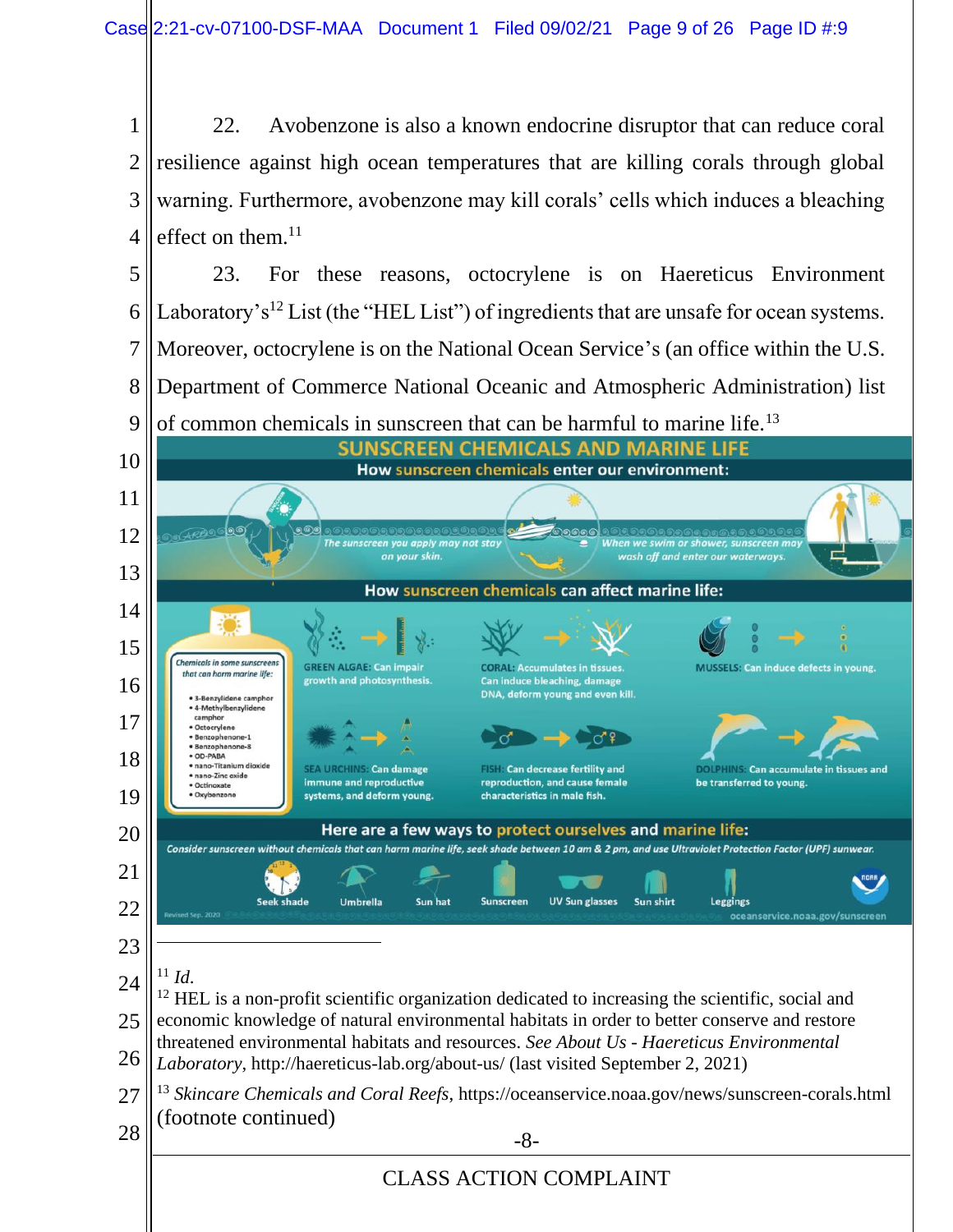22. Avobenzone is also a known endocrine disruptor that can reduce coral resilience against high ocean temperatures that are killing corals through global warning. Furthermore, avobenzone may kill corals' cells which induces a bleaching effect on them.

 23. For these reasons, octocrylene is on Haereticus Environment Laboratory's<sup>12</sup> List (the "HEL List") of ingredients that are unsafe for ocean systems. Moreover, octocrylene is on the National Ocean Service's (an office within the U.S. Department of Commerce National Oceanic and Atmospheric Administration) list



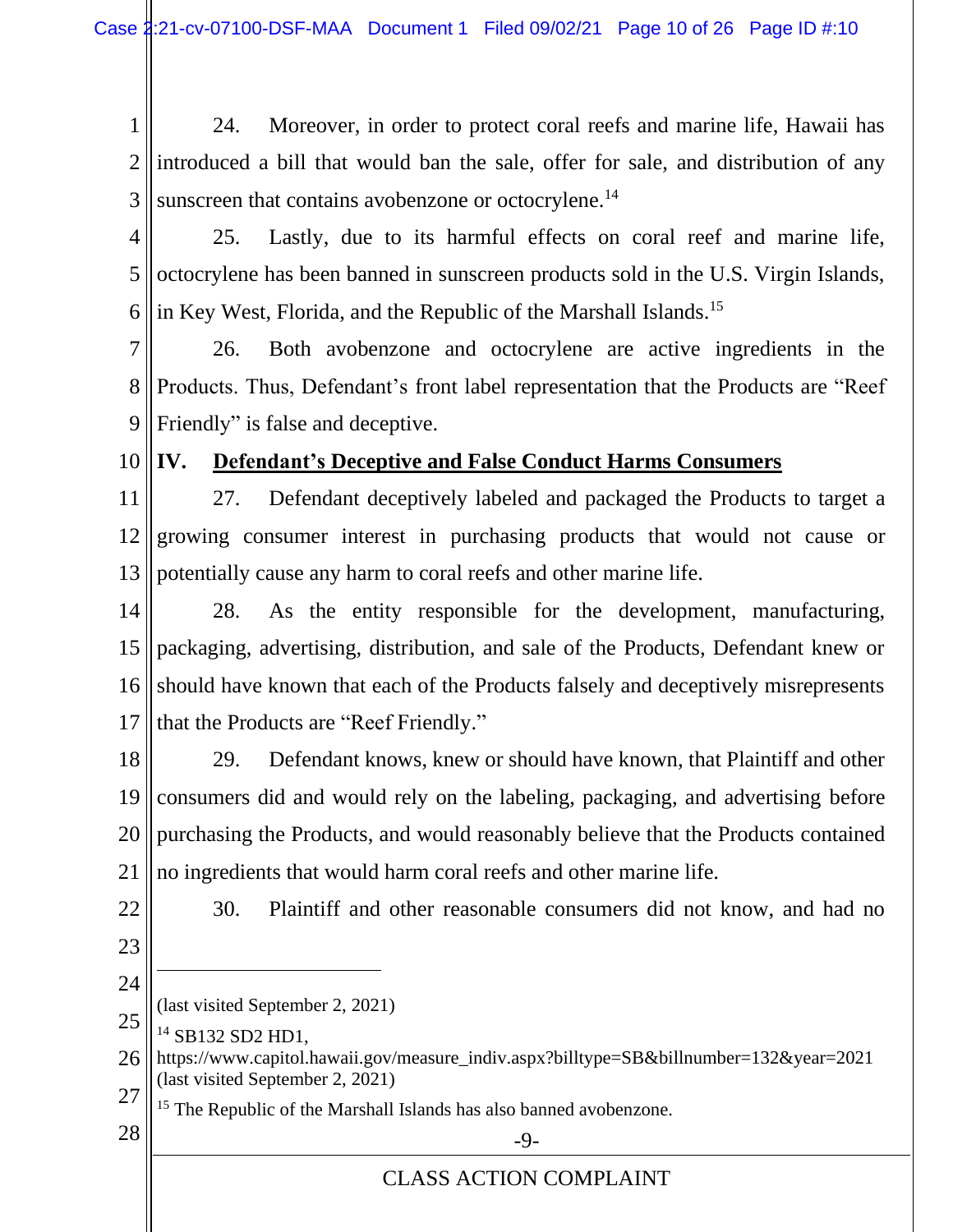1 2 3 24. Moreover, in order to protect coral reefs and marine life, Hawaii has introduced a bill that would ban the sale, offer for sale, and distribution of any sunscreen that contains avobenzone or octocrylene.<sup>14</sup>

4 5 6 25. Lastly, due to its harmful effects on coral reef and marine life, octocrylene has been banned in sunscreen products sold in the U.S. Virgin Islands, in Key West, Florida, and the Republic of the Marshall Islands.<sup>15</sup>

7 8 9 26. Both avobenzone and octocrylene are active ingredients in the Products. Thus, Defendant's front label representation that the Products are "Reef Friendly" is false and deceptive.

10

## **IV. Defendant's Deceptive and False Conduct Harms Consumers**

11 12 13 27. Defendant deceptively labeled and packaged the Products to target a growing consumer interest in purchasing products that would not cause or potentially cause any harm to coral reefs and other marine life.

14 15 16 17 28. As the entity responsible for the development, manufacturing, packaging, advertising, distribution, and sale of the Products, Defendant knew or should have known that each of the Products falsely and deceptively misrepresents that the Products are "Reef Friendly."

18 19 20 21 29. Defendant knows, knew or should have known, that Plaintiff and other consumers did and would rely on the labeling, packaging, and advertising before purchasing the Products, and would reasonably believe that the Products contained no ingredients that would harm coral reefs and other marine life.

22

30. Plaintiff and other reasonable consumers did not know, and had no

- 23
- 24 (last visited September 2, 2021)
- 25 <sup>14</sup> SB132 SD2 HD1,
- 26 27 https://www.capitol.hawaii.gov/measure\_indiv.aspx?billtype=SB&billnumber=132&year=2021 (last visited September 2, 2021)
	- <sup>15</sup> The Republic of the Marshall Islands has also banned avobenzone.
- $28 \parallel$   $-9$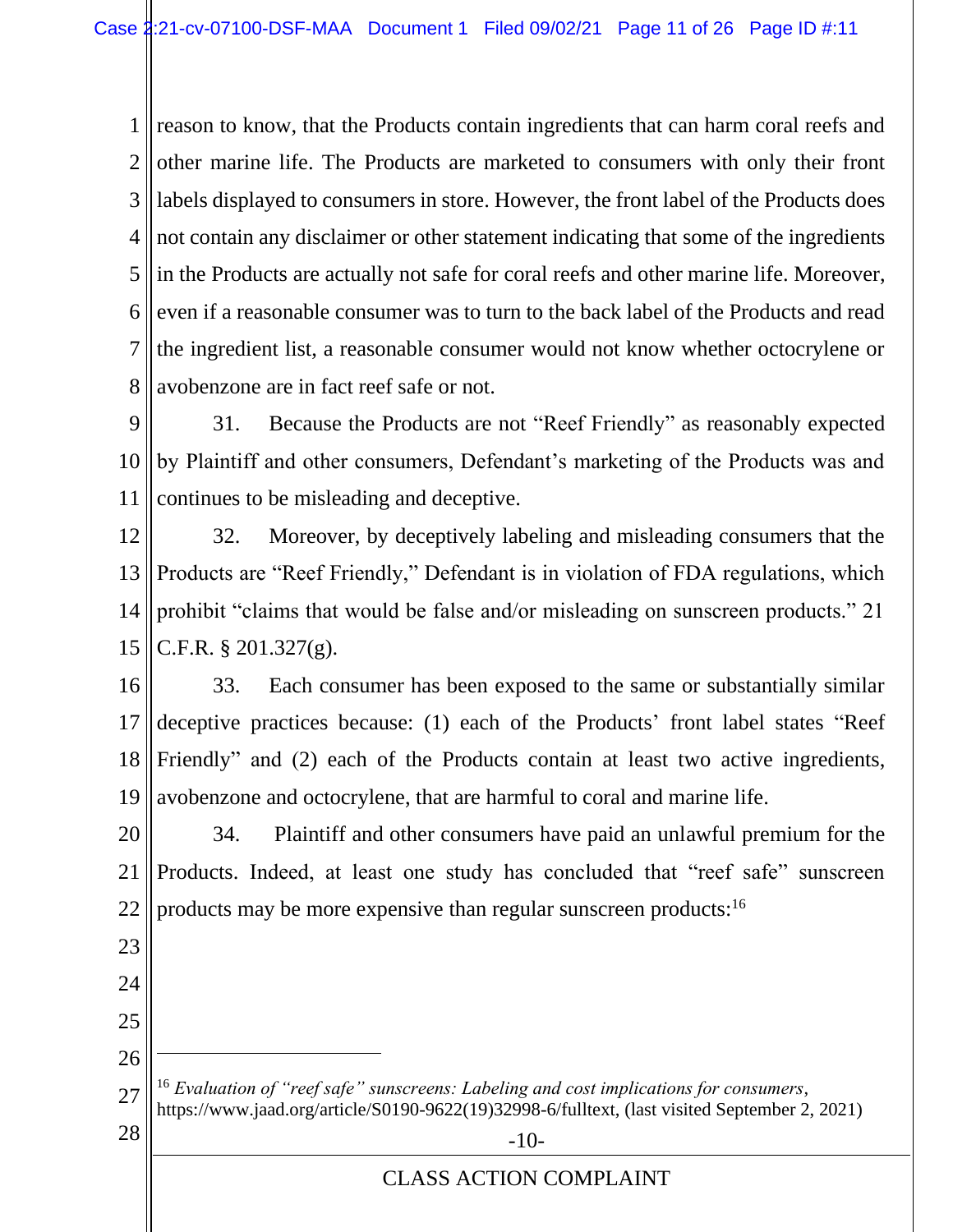1 2 3 4 5 6 7 8 reason to know, that the Products contain ingredients that can harm coral reefs and other marine life. The Products are marketed to consumers with only their front labels displayed to consumers in store. However, the front label of the Products does not contain any disclaimer or other statement indicating that some of the ingredients in the Products are actually not safe for coral reefs and other marine life. Moreover, even if a reasonable consumer was to turn to the back label of the Products and read the ingredient list, a reasonable consumer would not know whether octocrylene or avobenzone are in fact reef safe or not.

9 10 11 31. Because the Products are not "Reef Friendly" as reasonably expected by Plaintiff and other consumers, Defendant's marketing of the Products was and continues to be misleading and deceptive.

12 13 14 15 32. Moreover, by deceptively labeling and misleading consumers that the Products are "Reef Friendly," Defendant is in violation of FDA regulations, which prohibit "claims that would be false and/or misleading on sunscreen products." 21 C.F.R. § 201.327(g).

16 17 18 19 33. Each consumer has been exposed to the same or substantially similar deceptive practices because: (1) each of the Products' front label states "Reef Friendly" and (2) each of the Products contain at least two active ingredients, avobenzone and octocrylene, that are harmful to coral and marine life.

20 21 22 34. Plaintiff and other consumers have paid an unlawful premium for the Products. Indeed, at least one study has concluded that "reef safe" sunscreen products may be more expensive than regular sunscreen products:<sup>16</sup>

23

24

25

26

27 <sup>16</sup> *Evaluation of "reef safe" sunscreens: Labeling and cost implications for consumers*, [https://www.jaad.org/article/S0190-9622\(19\)32998-6/fulltext,](https://www.jaad.org/article/S0190-9622(19)32998-6/fulltext) (last visited September 2, 2021)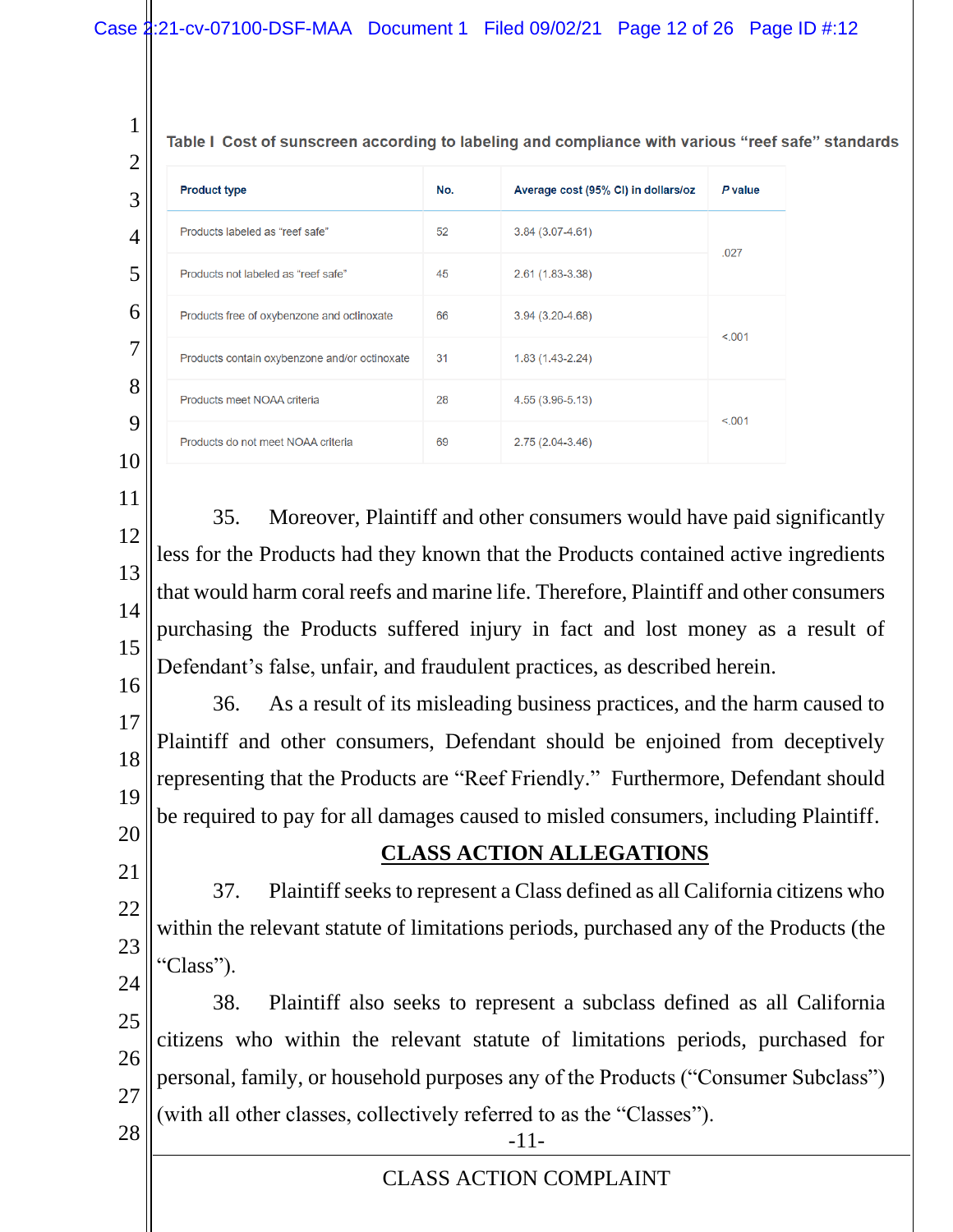Table I Cost of sunscreen according to labeling and compliance with various "reef safe" standards

| ∠ |                                               |     |                                     |         |
|---|-----------------------------------------------|-----|-------------------------------------|---------|
| 3 | <b>Product type</b>                           | No. | Average cost (95% CI) in dollars/oz | P value |
| 4 | Products labeled as "reef safe"               | 52  | $3.84(3.07 - 4.61)$                 | .027    |
| 5 | Products not labeled as "reef safe"           | 45  | $2.61(1.83 - 3.38)$                 |         |
| 6 | Products free of oxybenzone and octinoxate    | 66  | $3.94(3.20-4.68)$                   | < 0.001 |
| 7 | Products contain oxybenzone and/or octinoxate | 31  | $1.83(1.43 - 2.24)$                 |         |
| 8 | Products meet NOAA criteria                   | 28  | 4.55 (3.96-5.13)                    | < 0.001 |
| 9 | Products do not meet NOAA criteria            | 69  | $2.75(2.04-3.46)$                   |         |
|   |                                               |     |                                     |         |

- 11 12 13 14 15 16 35. Moreover, Plaintiff and other consumers would have paid significantly less for the Products had they known that the Products contained active ingredients that would harm coral reefs and marine life. Therefore, Plaintiff and other consumers purchasing the Products suffered injury in fact and lost money as a result of Defendant's false, unfair, and fraudulent practices, as described herein.
- 17 18 19 36. As a result of its misleading business practices, and the harm caused to Plaintiff and other consumers, Defendant should be enjoined from deceptively representing that the Products are "Reef Friendly." Furthermore, Defendant should be required to pay for all damages caused to misled consumers, including Plaintiff.
- 20 21

22

23

1  $\Omega$ 

#### **CLASS ACTION ALLEGATIONS**

37. Plaintiff seeks to represent a Class defined as all California citizens who within the relevant statute of limitations periods, purchased any of the Products (the "Class").

24 25 26 27  $28 \, \parallel \, \cdot$  -11-38. Plaintiff also seeks to represent a subclass defined as all California citizens who within the relevant statute of limitations periods, purchased for personal, family, or household purposes any of the Products ("Consumer Subclass") (with all other classes, collectively referred to as the "Classes").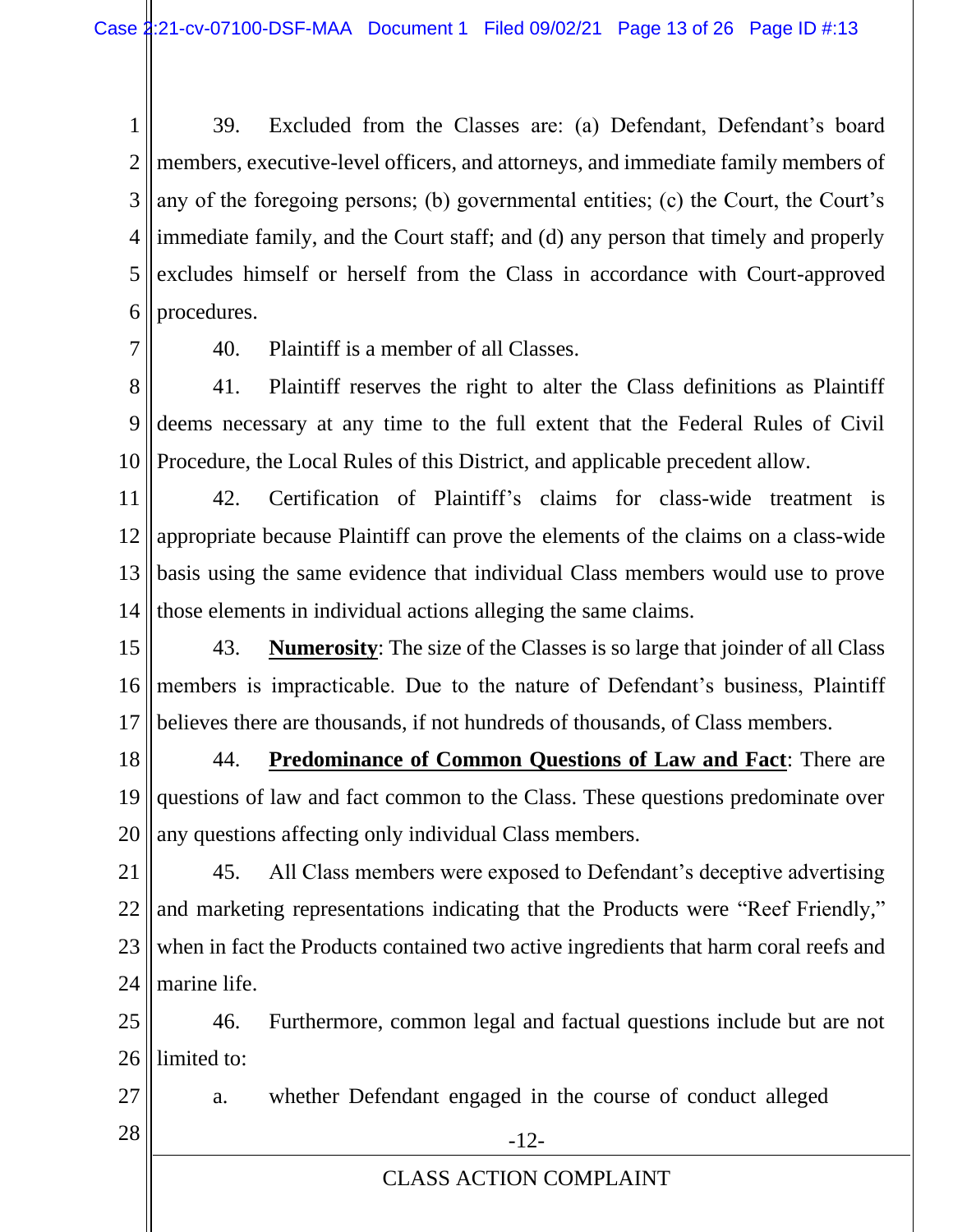1 2 3 4 5 6 39. Excluded from the Classes are: (a) Defendant, Defendant's board members, executive-level officers, and attorneys, and immediate family members of any of the foregoing persons; (b) governmental entities; (c) the Court, the Court's immediate family, and the Court staff; and (d) any person that timely and properly excludes himself or herself from the Class in accordance with Court-approved procedures.

7

40. Plaintiff is a member of all Classes.

8 9 10 41. Plaintiff reserves the right to alter the Class definitions as Plaintiff deems necessary at any time to the full extent that the Federal Rules of Civil Procedure, the Local Rules of this District, and applicable precedent allow.

11 12 13 14 42. Certification of Plaintiff's claims for class-wide treatment is appropriate because Plaintiff can prove the elements of the claims on a class-wide basis using the same evidence that individual Class members would use to prove those elements in individual actions alleging the same claims.

15 16 17 43. **Numerosity**: The size of the Classes is so large that joinder of all Class members is impracticable. Due to the nature of Defendant's business, Plaintiff believes there are thousands, if not hundreds of thousands, of Class members.

18 19 20 44. **Predominance of Common Questions of Law and Fact**: There are questions of law and fact common to the Class. These questions predominate over any questions affecting only individual Class members.

21 22 23 24 45. All Class members were exposed to Defendant's deceptive advertising and marketing representations indicating that the Products were "Reef Friendly," when in fact the Products contained two active ingredients that harm coral reefs and marine life.

25 26 46. Furthermore, common legal and factual questions include but are not limited to:

27  $28$   $\parallel$  -12a. whether Defendant engaged in the course of conduct alleged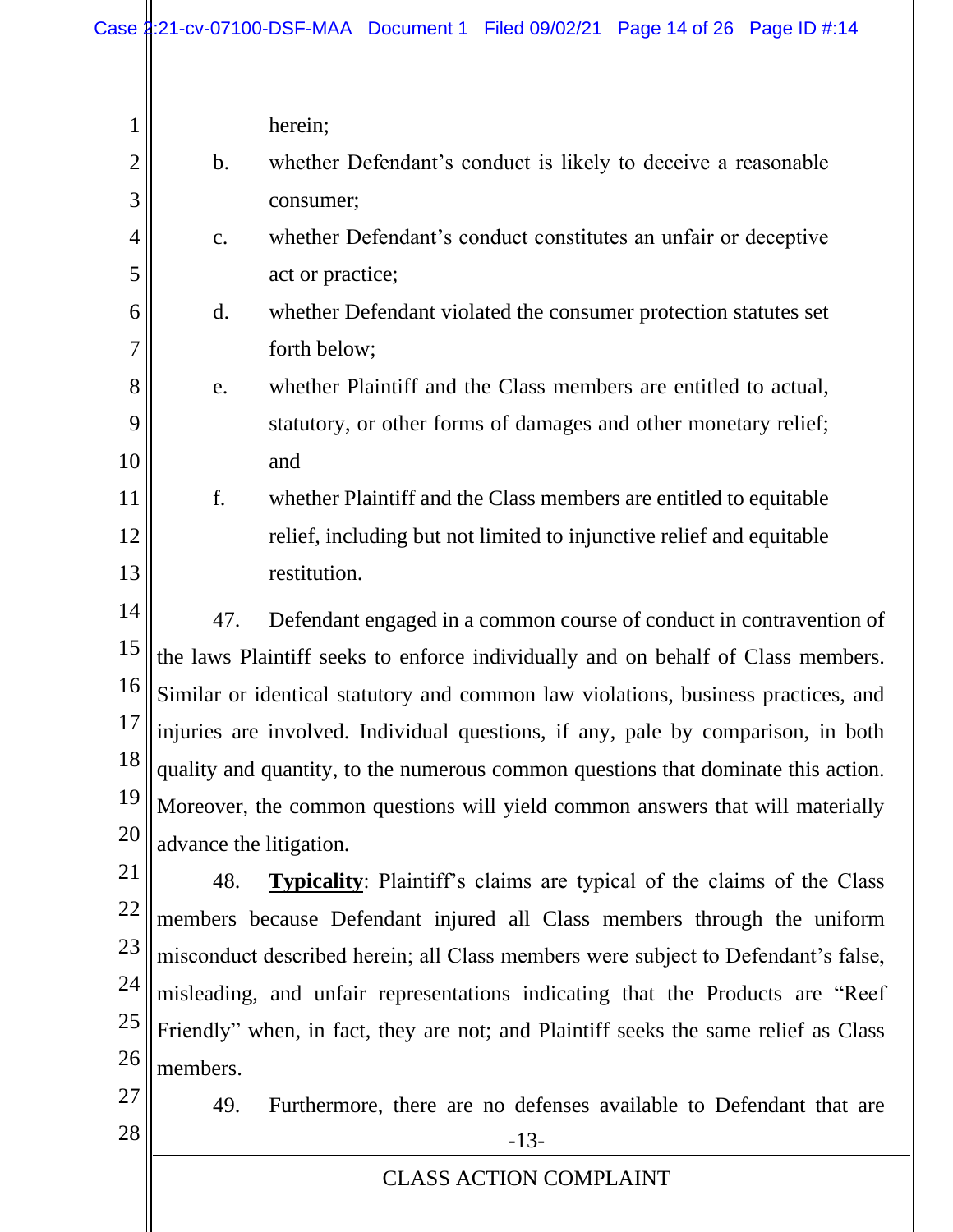| 1              |                                                                                     | herein;                                                                           |
|----------------|-------------------------------------------------------------------------------------|-----------------------------------------------------------------------------------|
| $\overline{2}$ | $\mathbf b$ .                                                                       | whether Defendant's conduct is likely to deceive a reasonable                     |
| 3              |                                                                                     | consumer;                                                                         |
| 4              | c.                                                                                  | whether Defendant's conduct constitutes an unfair or deceptive                    |
| 5              |                                                                                     |                                                                                   |
|                |                                                                                     | act or practice;                                                                  |
| 6              | $\mathbf{d}$ .                                                                      | whether Defendant violated the consumer protection statutes set                   |
| 7              |                                                                                     | forth below;                                                                      |
| 8              | e.                                                                                  | whether Plaintiff and the Class members are entitled to actual,                   |
| 9              |                                                                                     | statutory, or other forms of damages and other monetary relief;                   |
| 10             |                                                                                     | and                                                                               |
| 11             | f.                                                                                  | whether Plaintiff and the Class members are entitled to equitable                 |
| 12             |                                                                                     | relief, including but not limited to injunctive relief and equitable              |
| 13             |                                                                                     | restitution.                                                                      |
| 14             | 47.                                                                                 | Defendant engaged in a common course of conduct in contravention of               |
| 15             | the laws Plaintiff seeks to enforce individually and on behalf of Class members.    |                                                                                   |
| 16             | Similar or identical statutory and common law violations, business practices, and   |                                                                                   |
| 17             | injuries are involved. Individual questions, if any, pale by comparison, in both    |                                                                                   |
| 18             |                                                                                     | quality and quantity, to the numerous common questions that dominate this action. |
| 19             | Moreover, the common questions will yield common answers that will materially       |                                                                                   |
| 20             | advance the litigation.                                                             |                                                                                   |
| 21             | 48.                                                                                 | <b>Typicality:</b> Plaintiff's claims are typical of the claims of the Class      |
| 22             |                                                                                     | members because Defendant injured all Class members through the uniform           |
| 23             |                                                                                     | misconduct described herein; all Class members were subject to Defendant's false, |
| 24             |                                                                                     | misleading, and unfair representations indicating that the Products are "Reef"    |
| 25             | Friendly" when, in fact, they are not; and Plaintiff seeks the same relief as Class |                                                                                   |
| 26             | members.                                                                            |                                                                                   |
| 27             | 49.                                                                                 | Furthermore, there are no defenses available to Defendant that are                |
| 28             |                                                                                     | $-13-$                                                                            |
|                |                                                                                     | <b>CLASS ACTION COMPLAINT</b>                                                     |
|                |                                                                                     |                                                                                   |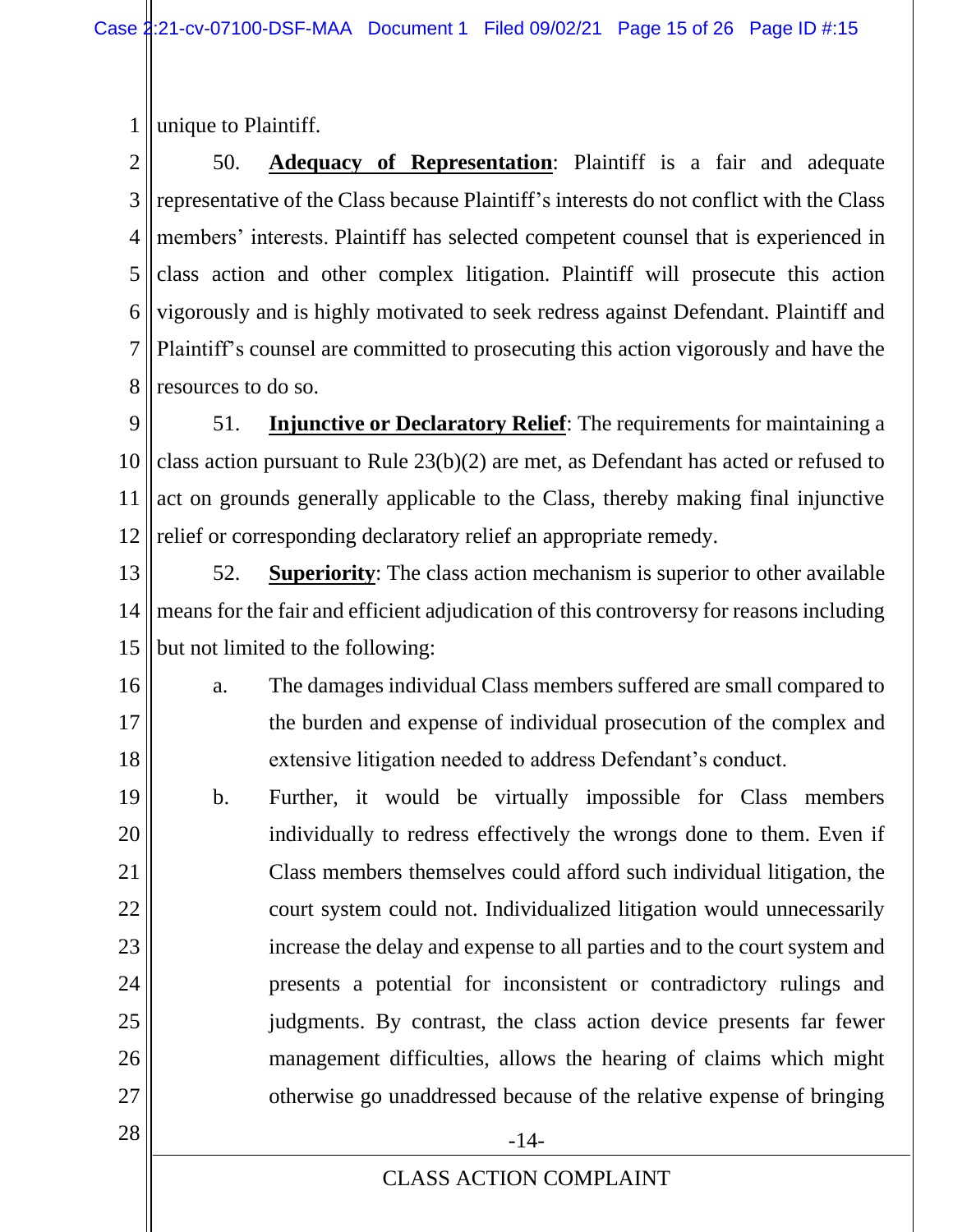1 unique to Plaintiff.

2 3 4 5 6 7 8 50. **Adequacy of Representation**: Plaintiff is a fair and adequate representative of the Class because Plaintiff's interests do not conflict with the Class members' interests. Plaintiff has selected competent counsel that is experienced in class action and other complex litigation. Plaintiff will prosecute this action vigorously and is highly motivated to seek redress against Defendant. Plaintiff and Plaintiff's counsel are committed to prosecuting this action vigorously and have the resources to do so.

9 10 11 12 51. **Injunctive or Declaratory Relief**: The requirements for maintaining a class action pursuant to Rule 23(b)(2) are met, as Defendant has acted or refused to act on grounds generally applicable to the Class, thereby making final injunctive relief or corresponding declaratory relief an appropriate remedy.

13 14 15 52. **Superiority**: The class action mechanism is superior to other available means for the fair and efficient adjudication of this controversy for reasons including but not limited to the following:

16 17 18 a. The damages individual Class members suffered are small compared to the burden and expense of individual prosecution of the complex and extensive litigation needed to address Defendant's conduct.

19 20 21 22 23 24 25 26 27 b. Further, it would be virtually impossible for Class members individually to redress effectively the wrongs done to them. Even if Class members themselves could afford such individual litigation, the court system could not. Individualized litigation would unnecessarily increase the delay and expense to all parties and to the court system and presents a potential for inconsistent or contradictory rulings and judgments. By contrast, the class action device presents far fewer management difficulties, allows the hearing of claims which might otherwise go unaddressed because of the relative expense of bringing

CLASS ACTION COMPLAINT

 $28 \parallel$  -14-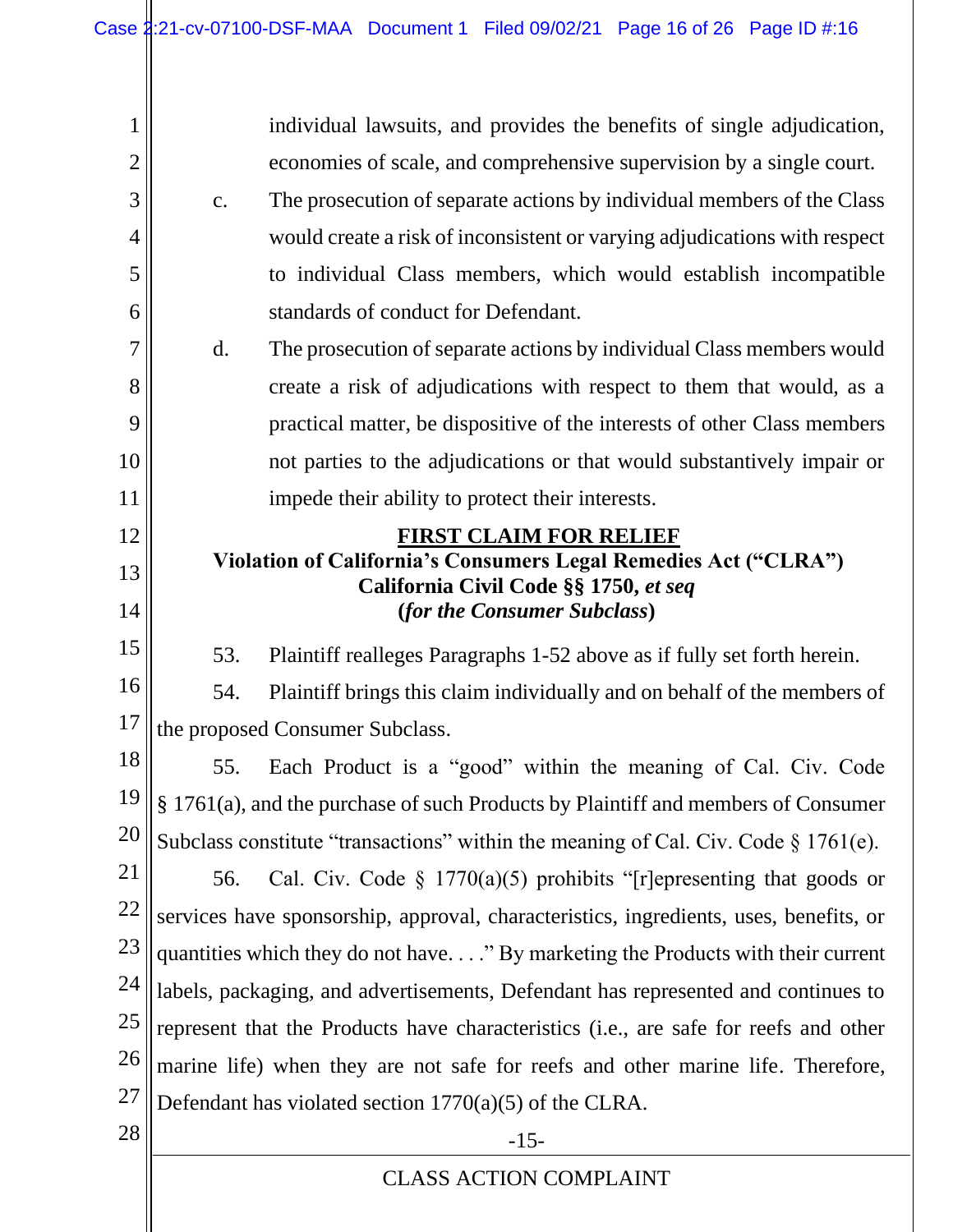| 1              |                                                                                                          | individual lawsuits, and provides the benefits of single adjudication,            |
|----------------|----------------------------------------------------------------------------------------------------------|-----------------------------------------------------------------------------------|
| $\overline{2}$ |                                                                                                          | economies of scale, and comprehensive supervision by a single court.              |
| 3              | c.                                                                                                       | The prosecution of separate actions by individual members of the Class            |
| 4              |                                                                                                          | would create a risk of inconsistent or varying adjudications with respect         |
| 5              |                                                                                                          | to individual Class members, which would establish incompatible                   |
| 6              |                                                                                                          | standards of conduct for Defendant.                                               |
| 7              | d.                                                                                                       | The prosecution of separate actions by individual Class members would             |
| 8              |                                                                                                          | create a risk of adjudications with respect to them that would, as a              |
| 9              |                                                                                                          | practical matter, be dispositive of the interests of other Class members          |
| 10             |                                                                                                          | not parties to the adjudications or that would substantively impair or            |
| 11             |                                                                                                          | impede their ability to protect their interests.                                  |
| 12             | <b>FIRST CLAIM FOR RELIEF</b>                                                                            |                                                                                   |
| 13             | Violation of California's Consumers Legal Remedies Act ("CLRA")<br>California Civil Code §§ 1750, et seq |                                                                                   |
| 14             |                                                                                                          | (for the Consumer Subclass)                                                       |
| 15             | 53.                                                                                                      | Plaintiff realleges Paragraphs 1-52 above as if fully set forth herein.           |
| 16             | 54.                                                                                                      | Plaintiff brings this claim individually and on behalf of the members of          |
| 17             | the proposed Consumer Subclass.                                                                          |                                                                                   |
| 18             | 55.                                                                                                      | Each Product is a "good" within the meaning of Cal. Civ. Code                     |
| 19             |                                                                                                          | § 1761(a), and the purchase of such Products by Plaintiff and members of Consumer |
| 20             | Subclass constitute "transactions" within the meaning of Cal. Civ. Code § 1761(e).                       |                                                                                   |
| 21             | 56.                                                                                                      | Cal. Civ. Code $\S 1770(a)(5)$ prohibits "[r] epresenting that goods or           |
| 22             | services have sponsorship, approval, characteristics, ingredients, uses, benefits, or                    |                                                                                   |
| 23             | quantities which they do not have" By marketing the Products with their current                          |                                                                                   |
| 24             | labels, packaging, and advertisements, Defendant has represented and continues to                        |                                                                                   |
| 25             | represent that the Products have characteristics (i.e., are safe for reefs and other                     |                                                                                   |
| 26             | marine life) when they are not safe for reefs and other marine life. Therefore,                          |                                                                                   |
| 27             |                                                                                                          | Defendant has violated section $1770(a)(5)$ of the CLRA.                          |
| 28             |                                                                                                          | $-15-$                                                                            |
|                |                                                                                                          | <b>CLASS ACTION COMPLAINT</b>                                                     |
|                |                                                                                                          |                                                                                   |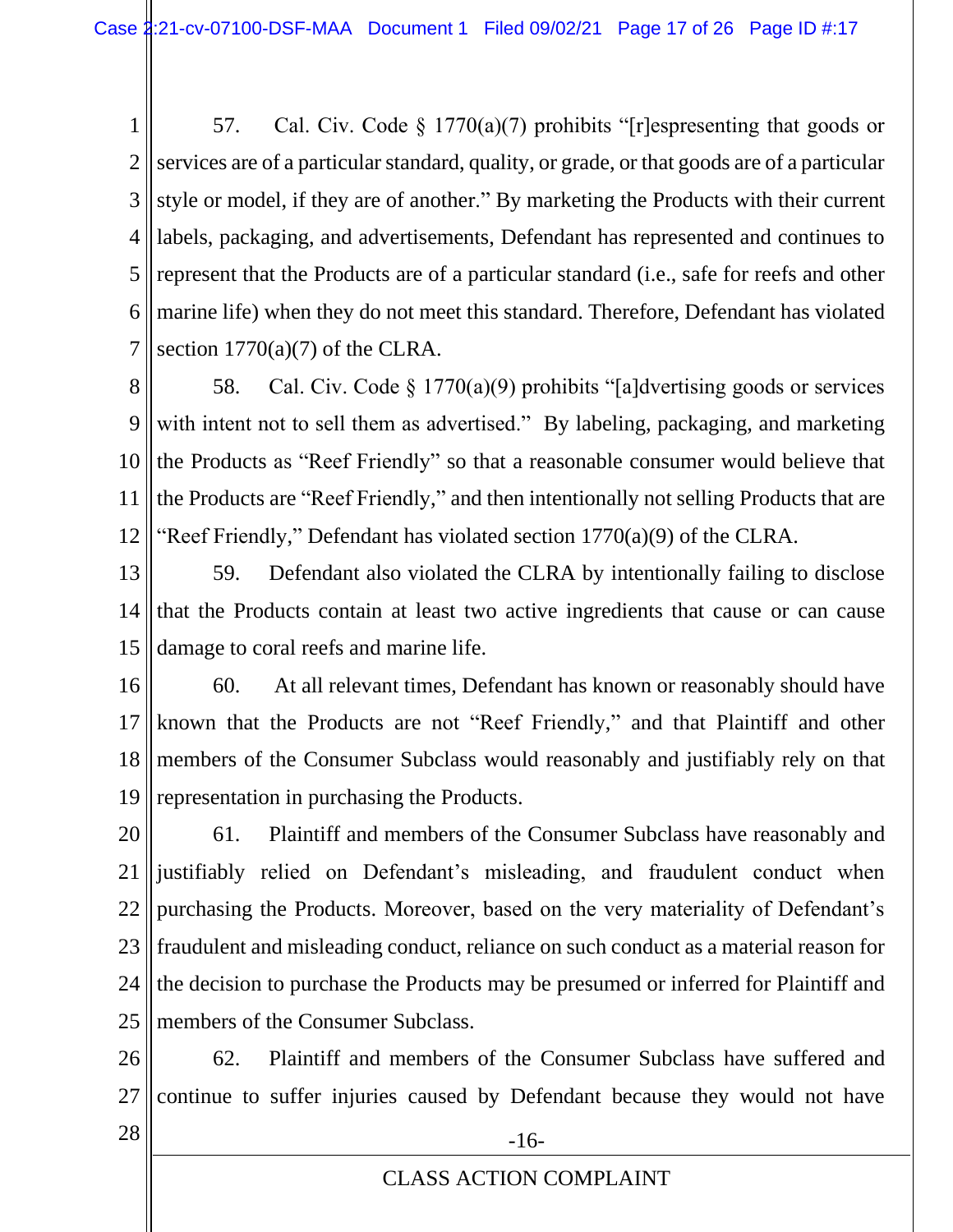1 2 3 4 5 6 7 57. Cal. Civ. Code § 1770(a)(7) prohibits "[r]espresenting that goods or services are of a particular standard, quality, or grade, or that goods are of a particular style or model, if they are of another." By marketing the Products with their current labels, packaging, and advertisements, Defendant has represented and continues to represent that the Products are of a particular standard (i.e., safe for reefs and other marine life) when they do not meet this standard. Therefore, Defendant has violated section  $1770(a)(7)$  of the CLRA.

8 9 10 11 12 58. Cal. Civ. Code § 1770(a)(9) prohibits "[a]dvertising goods or services with intent not to sell them as advertised." By labeling, packaging, and marketing the Products as "Reef Friendly" so that a reasonable consumer would believe that the Products are "Reef Friendly," and then intentionally not selling Products that are "Reef Friendly," Defendant has violated section 1770(a)(9) of the CLRA.

- 13 14 15 59. Defendant also violated the CLRA by intentionally failing to disclose that the Products contain at least two active ingredients that cause or can cause damage to coral reefs and marine life.
- 16 17 18 19 60. At all relevant times, Defendant has known or reasonably should have known that the Products are not "Reef Friendly," and that Plaintiff and other members of the Consumer Subclass would reasonably and justifiably rely on that representation in purchasing the Products.

20 21 22 23 24 25 61. Plaintiff and members of the Consumer Subclass have reasonably and justifiably relied on Defendant's misleading, and fraudulent conduct when purchasing the Products. Moreover, based on the very materiality of Defendant's fraudulent and misleading conduct, reliance on such conduct as a material reason for the decision to purchase the Products may be presumed or inferred for Plaintiff and members of the Consumer Subclass.

26 27 62. Plaintiff and members of the Consumer Subclass have suffered and continue to suffer injuries caused by Defendant because they would not have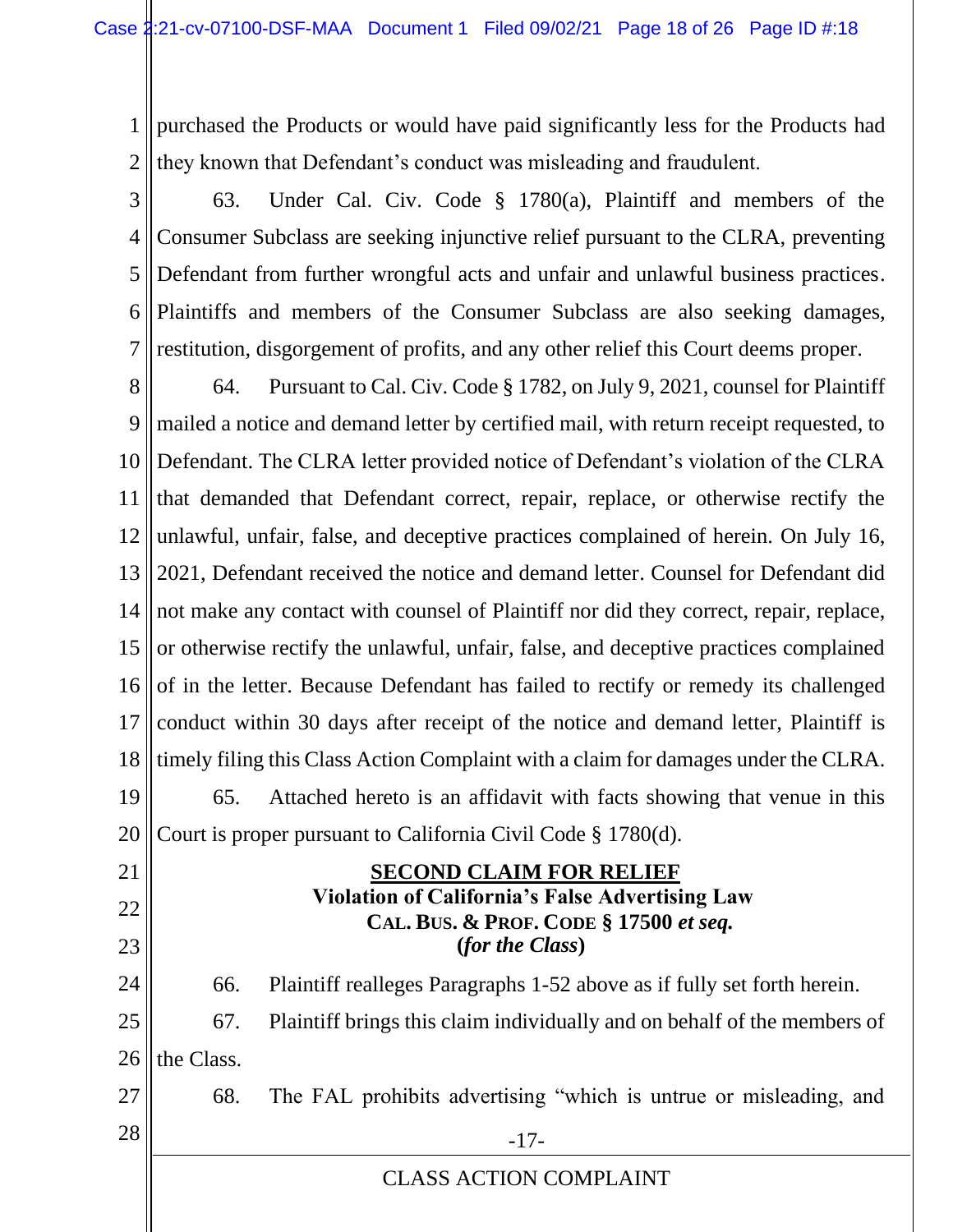1 2 purchased the Products or would have paid significantly less for the Products had they known that Defendant's conduct was misleading and fraudulent.

3 4 5 6 7 63. Under Cal. Civ. Code § 1780(a), Plaintiff and members of the Consumer Subclass are seeking injunctive relief pursuant to the CLRA, preventing Defendant from further wrongful acts and unfair and unlawful business practices. Plaintiffs and members of the Consumer Subclass are also seeking damages, restitution, disgorgement of profits, and any other relief this Court deems proper.

8 9 10 11 12 13 14 15 16 17 18 19 20 64. Pursuant to Cal. Civ. Code § 1782, on July 9, 2021, counsel for Plaintiff mailed a notice and demand letter by certified mail, with return receipt requested, to Defendant. The CLRA letter provided notice of Defendant's violation of the CLRA that demanded that Defendant correct, repair, replace, or otherwise rectify the unlawful, unfair, false, and deceptive practices complained of herein. On July 16, 2021, Defendant received the notice and demand letter. Counsel for Defendant did not make any contact with counsel of Plaintiff nor did they correct, repair, replace, or otherwise rectify the unlawful, unfair, false, and deceptive practices complained of in the letter. Because Defendant has failed to rectify or remedy its challenged conduct within 30 days after receipt of the notice and demand letter, Plaintiff is timely filing this Class Action Complaint with a claim for damages under the CLRA. 65. Attached hereto is an affidavit with facts showing that venue in this Court is proper pursuant to California Civil Code § 1780(d).

21 22 23 24 25 26 27  $28 \parallel$  -17- **SECOND CLAIM FOR RELIEF Violation of California's False Advertising Law CAL. BUS. & PROF. CODE § 17500** *et seq.* **(***for the Class***)** 66. Plaintiff realleges Paragraphs 1-52 above as if fully set forth herein. 67. Plaintiff brings this claim individually and on behalf of the members of the Class. 68. The FAL prohibits advertising "which is untrue or misleading, and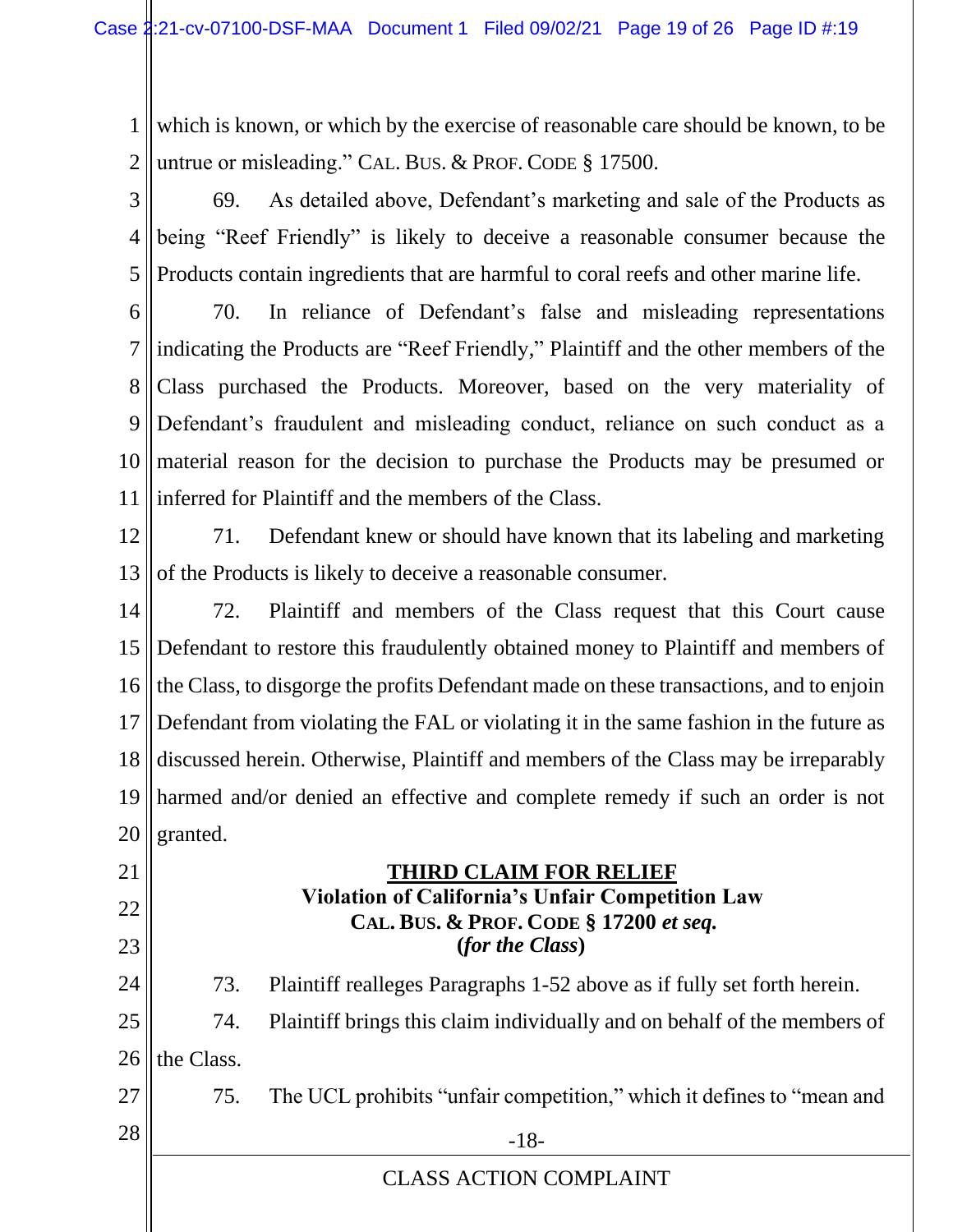1 2 which is known, or which by the exercise of reasonable care should be known, to be untrue or misleading." CAL. BUS. & PROF. CODE § 17500.

3 4 5 69. As detailed above, Defendant's marketing and sale of the Products as being "Reef Friendly" is likely to deceive a reasonable consumer because the Products contain ingredients that are harmful to coral reefs and other marine life.

6

7 8 9 10 11 70. In reliance of Defendant's false and misleading representations indicating the Products are "Reef Friendly," Plaintiff and the other members of the Class purchased the Products. Moreover, based on the very materiality of Defendant's fraudulent and misleading conduct, reliance on such conduct as a material reason for the decision to purchase the Products may be presumed or inferred for Plaintiff and the members of the Class.

12 13 71. Defendant knew or should have known that its labeling and marketing of the Products is likely to deceive a reasonable consumer.

14 15 16 17 18 19 20 72. Plaintiff and members of the Class request that this Court cause Defendant to restore this fraudulently obtained money to Plaintiff and members of the Class, to disgorge the profits Defendant made on these transactions, and to enjoin Defendant from violating the FAL or violating it in the same fashion in the future as discussed herein. Otherwise, Plaintiff and members of the Class may be irreparably harmed and/or denied an effective and complete remedy if such an order is not granted.

 **THIRD CLAIM FOR RELIEF Violation of California's Unfair Competition Law CAL. BUS. & PROF. CODE § 17200** *et seq.* **(***for the Class***)** 73. Plaintiff realleges Paragraphs 1-52 above as if fully set forth herein.

25 26 74. Plaintiff brings this claim individually and on behalf of the members of the Class.

27 75. The UCL prohibits "unfair competition," which it defines to "mean and

CLASS ACTION COMPLAINT

 $28$  ||  $-18$ -

21

22

23

24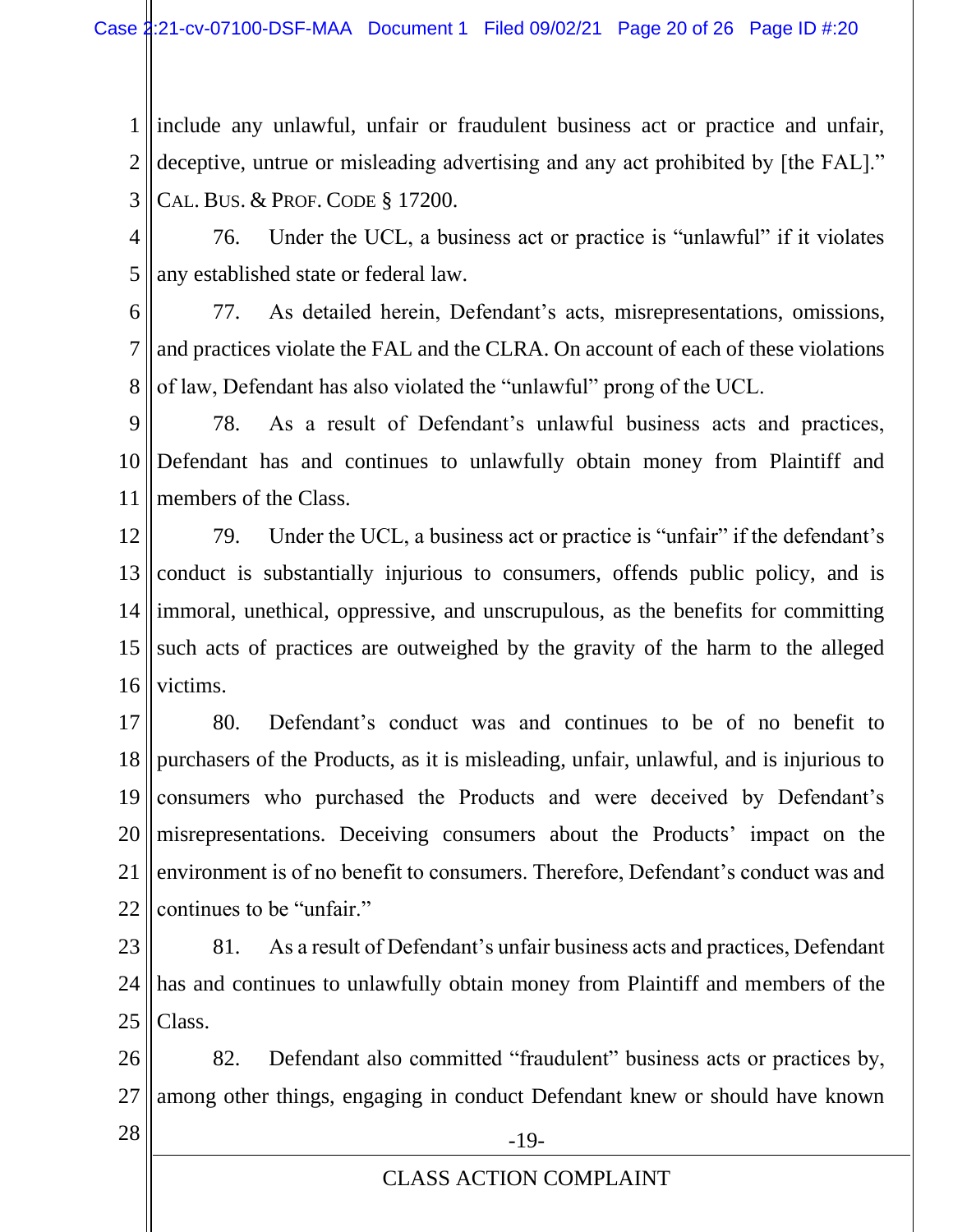1 2 3 include any unlawful, unfair or fraudulent business act or practice and unfair, deceptive, untrue or misleading advertising and any act prohibited by [the FAL]." CAL. BUS. & PROF. CODE § 17200.

- 4 5 76. Under the UCL, a business act or practice is "unlawful" if it violates any established state or federal law.
- 6 7 8 77. As detailed herein, Defendant's acts, misrepresentations, omissions, and practices violate the FAL and the CLRA. On account of each of these violations of law, Defendant has also violated the "unlawful" prong of the UCL.
- 9 10 11 78. As a result of Defendant's unlawful business acts and practices, Defendant has and continues to unlawfully obtain money from Plaintiff and members of the Class.
- 12 13 14 15 16 79. Under the UCL, a business act or practice is "unfair" if the defendant's conduct is substantially injurious to consumers, offends public policy, and is immoral, unethical, oppressive, and unscrupulous, as the benefits for committing such acts of practices are outweighed by the gravity of the harm to the alleged victims.
- 17 18 19 20 21 22 80. Defendant's conduct was and continues to be of no benefit to purchasers of the Products, as it is misleading, unfair, unlawful, and is injurious to consumers who purchased the Products and were deceived by Defendant's misrepresentations. Deceiving consumers about the Products' impact on the environment is of no benefit to consumers. Therefore, Defendant's conduct was and continues to be "unfair."
- 23 24 25 81. As a result of Defendant's unfair business acts and practices, Defendant has and continues to unlawfully obtain money from Plaintiff and members of the Class.

26 27 82. Defendant also committed "fraudulent" business acts or practices by, among other things, engaging in conduct Defendant knew or should have known

 $28$  ||  $-19$ -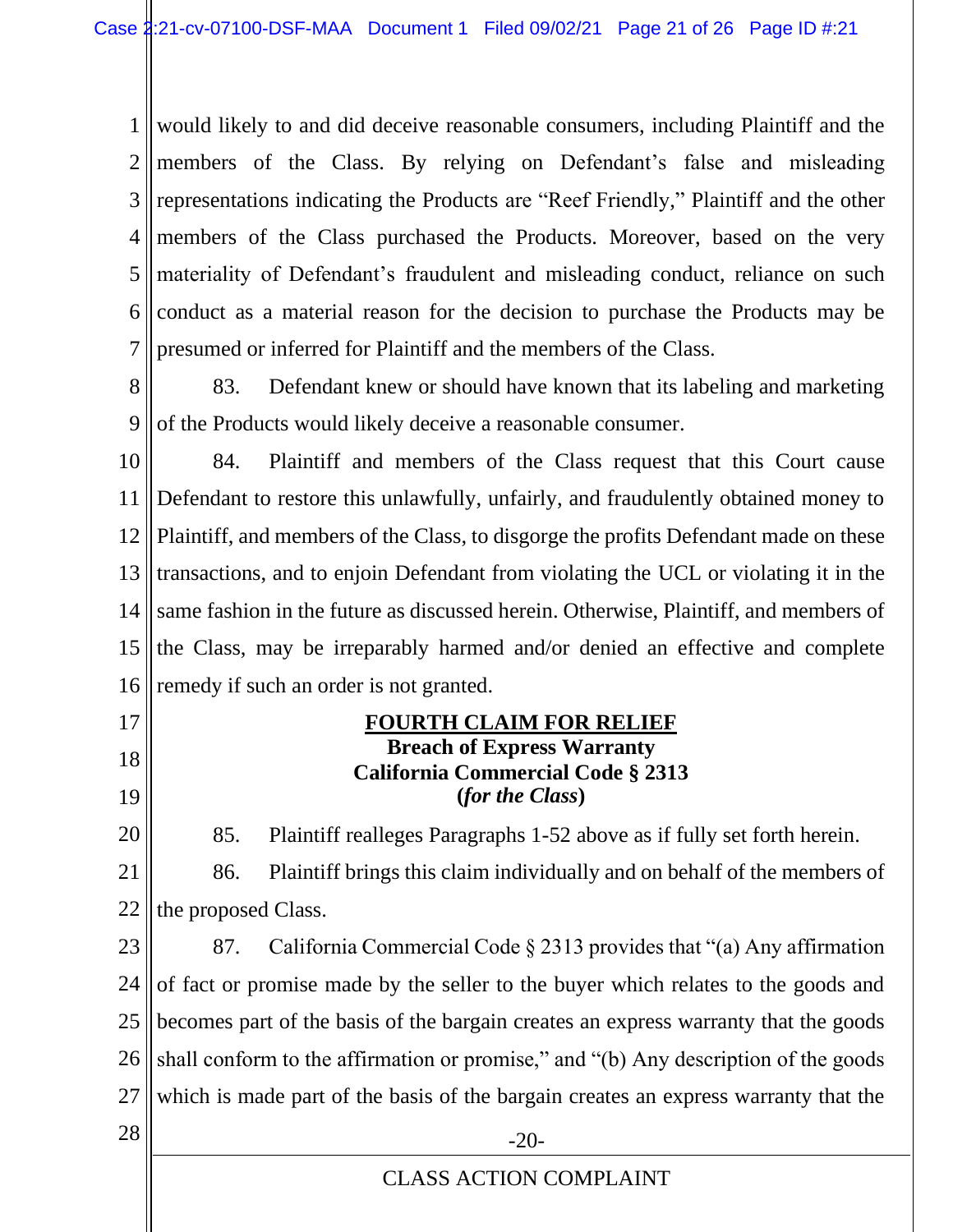1 2 3 4 5 6 7 would likely to and did deceive reasonable consumers, including Plaintiff and the members of the Class. By relying on Defendant's false and misleading representations indicating the Products are "Reef Friendly," Plaintiff and the other members of the Class purchased the Products. Moreover, based on the very materiality of Defendant's fraudulent and misleading conduct, reliance on such conduct as a material reason for the decision to purchase the Products may be presumed or inferred for Plaintiff and the members of the Class.

8 9 83. Defendant knew or should have known that its labeling and marketing of the Products would likely deceive a reasonable consumer.

10 11 12 13 14 15 16 84. Plaintiff and members of the Class request that this Court cause Defendant to restore this unlawfully, unfairly, and fraudulently obtained money to Plaintiff, and members of the Class, to disgorge the profits Defendant made on these transactions, and to enjoin Defendant from violating the UCL or violating it in the same fashion in the future as discussed herein. Otherwise, Plaintiff, and members of the Class, may be irreparably harmed and/or denied an effective and complete remedy if such an order is not granted.

- 17
- 18
- 19

20

85. Plaintiff realleges Paragraphs 1-52 above as if fully set forth herein.

**FOURTH CLAIM FOR RELIEF Breach of Express Warranty California Commercial Code § 2313 (***for the Class***)**

21 22 86. Plaintiff brings this claim individually and on behalf of the members of the proposed Class.

23 24 25 26 27 87. California Commercial Code § 2313 provides that "(a) Any affirmation of fact or promise made by the seller to the buyer which relates to the goods and becomes part of the basis of the bargain creates an express warranty that the goods shall conform to the affirmation or promise," and "(b) Any description of the goods which is made part of the basis of the bargain creates an express warranty that the

 $28 \parallel$  -20-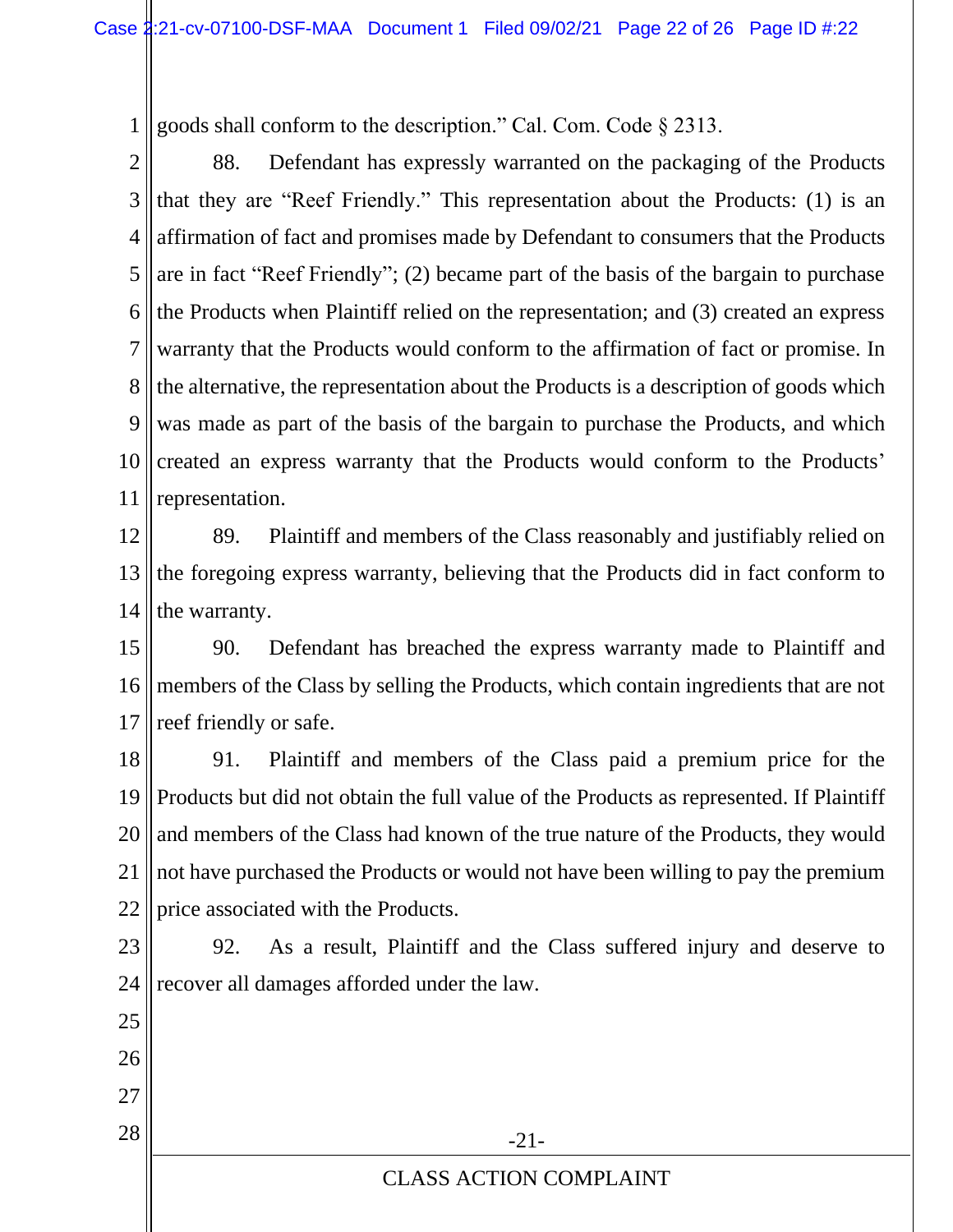1 goods shall conform to the description." Cal. Com. Code § 2313.

2 3 4 5 6 7 8 9 10 11 88. Defendant has expressly warranted on the packaging of the Products that they are "Reef Friendly." This representation about the Products: (1) is an affirmation of fact and promises made by Defendant to consumers that the Products are in fact "Reef Friendly"; (2) became part of the basis of the bargain to purchase the Products when Plaintiff relied on the representation; and (3) created an express warranty that the Products would conform to the affirmation of fact or promise. In the alternative, the representation about the Products is a description of goods which was made as part of the basis of the bargain to purchase the Products, and which created an express warranty that the Products would conform to the Products' representation.

12 13 14 89. Plaintiff and members of the Class reasonably and justifiably relied on the foregoing express warranty, believing that the Products did in fact conform to the warranty.

15 16 17 90. Defendant has breached the express warranty made to Plaintiff and members of the Class by selling the Products, which contain ingredients that are not reef friendly or safe.

18 19 20 21 22 91. Plaintiff and members of the Class paid a premium price for the Products but did not obtain the full value of the Products as represented. If Plaintiff and members of the Class had known of the true nature of the Products, they would not have purchased the Products or would not have been willing to pay the premium price associated with the Products.

23 24 92. As a result, Plaintiff and the Class suffered injury and deserve to recover all damages afforded under the law.

25 26 27  $28$   $\parallel$  -21-CLASS ACTION COMPLAINT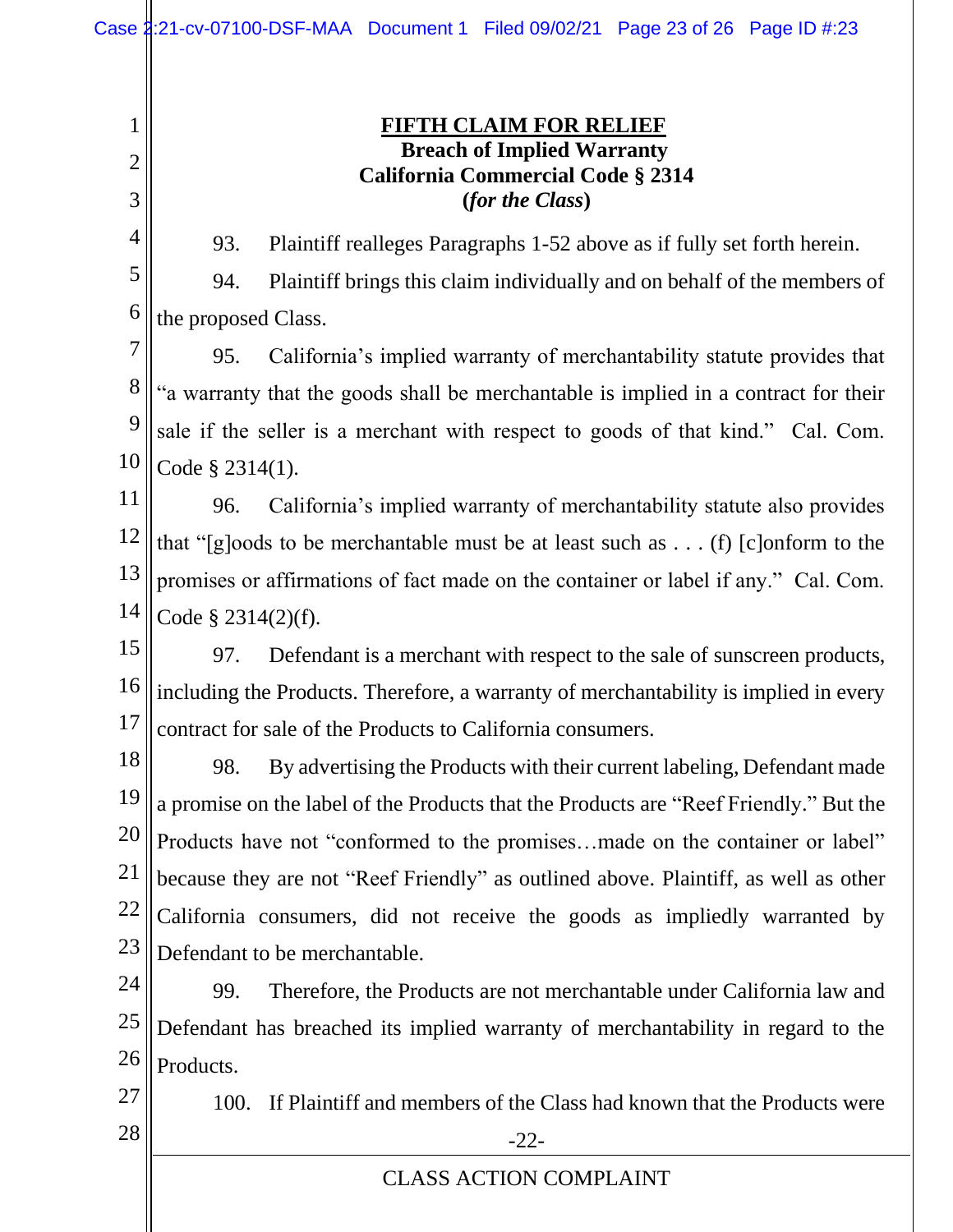1 2 3 4 5 6 7 8 9 10 11 12 13 14 15 16 17 18 19 20 21 22 23 24 25 26 27  $28 \parallel$  -22-CLASS ACTION COMPLAINT **FIFTH CLAIM FOR RELIEF Breach of Implied Warranty California Commercial Code § 2314 (***for the Class***)** 93. Plaintiff realleges Paragraphs 1-52 above as if fully set forth herein. 94. Plaintiff brings this claim individually and on behalf of the members of the proposed Class. 95. California's implied warranty of merchantability statute provides that "a warranty that the goods shall be merchantable is implied in a contract for their sale if the seller is a merchant with respect to goods of that kind." Cal. Com. Code § 2314(1). 96. California's implied warranty of merchantability statute also provides that "[g]oods to be merchantable must be at least such as . . . (f) [c]onform to the promises or affirmations of fact made on the container or label if any." Cal. Com. Code § 2314(2)(f). 97. Defendant is a merchant with respect to the sale of sunscreen products, including the Products. Therefore, a warranty of merchantability is implied in every contract for sale of the Products to California consumers. 98. By advertising the Products with their current labeling, Defendant made a promise on the label of the Products that the Products are "Reef Friendly." But the Products have not "conformed to the promises…made on the container or label" because they are not "Reef Friendly" as outlined above. Plaintiff, as well as other California consumers, did not receive the goods as impliedly warranted by Defendant to be merchantable. 99. Therefore, the Products are not merchantable under California law and Defendant has breached its implied warranty of merchantability in regard to the Products. 100. If Plaintiff and members of the Class had known that the Products were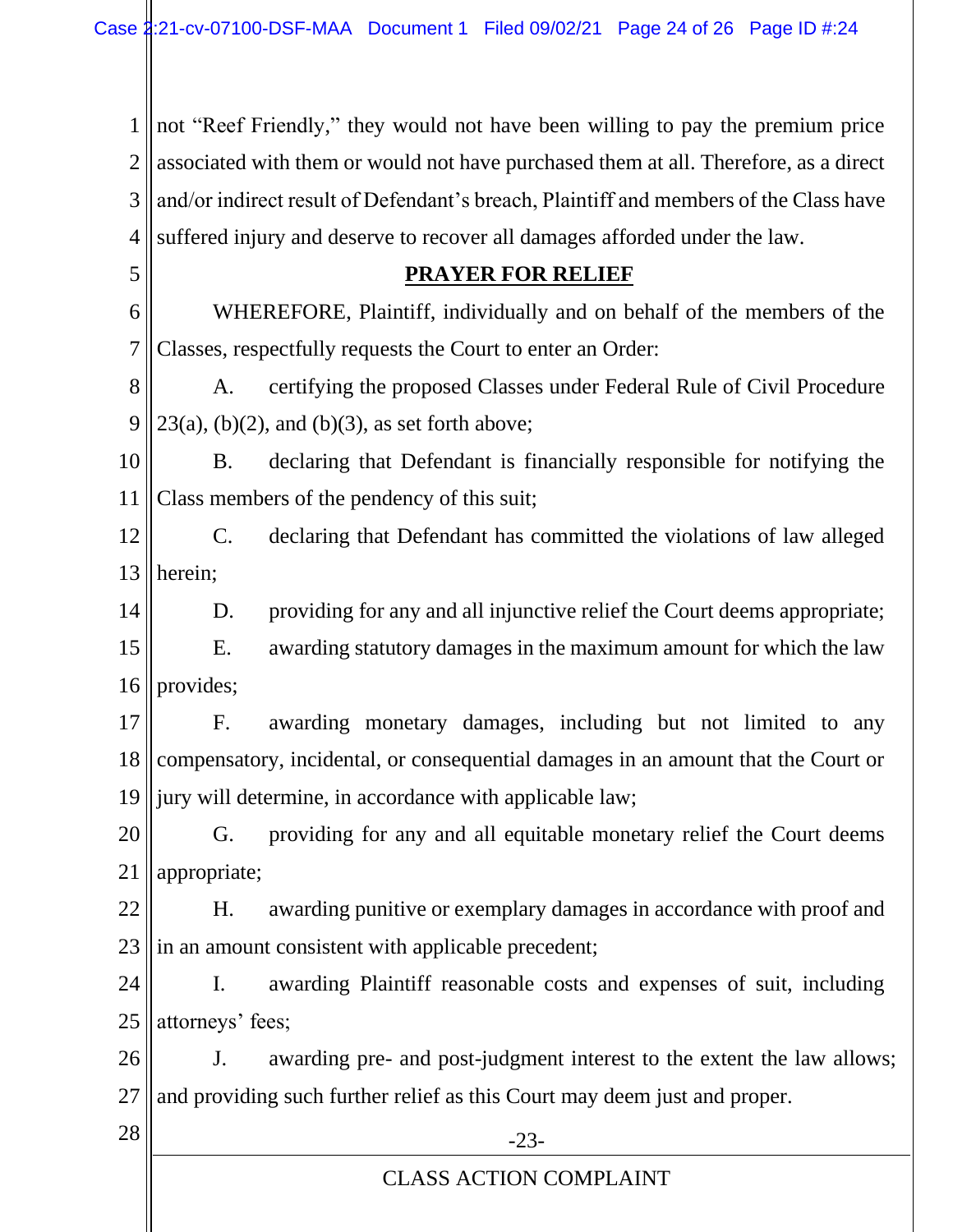1 2 3 4 not "Reef Friendly," they would not have been willing to pay the premium price associated with them or would not have purchased them at all. Therefore, as a direct and/or indirect result of Defendant's breach, Plaintiff and members of the Class have suffered injury and deserve to recover all damages afforded under the law.

6 7 WHEREFORE, Plaintiff, individually and on behalf of the members of the Classes, respectfully requests the Court to enter an Order:

8 9 A. certifying the proposed Classes under Federal Rule of Civil Procedure  $23(a)$ , (b)(2), and (b)(3), as set forth above;

10 11 B. declaring that Defendant is financially responsible for notifying the Class members of the pendency of this suit;

12 13 C. declaring that Defendant has committed the violations of law alleged herein;

14 D. providing for any and all injunctive relief the Court deems appropriate;

15 16 E. awarding statutory damages in the maximum amount for which the law provides;

17 18 19 F. awarding monetary damages, including but not limited to any compensatory, incidental, or consequential damages in an amount that the Court or jury will determine, in accordance with applicable law;

20 21 G. providing for any and all equitable monetary relief the Court deems appropriate;

22 23 H. awarding punitive or exemplary damages in accordance with proof and in an amount consistent with applicable precedent;

24 25 I. awarding Plaintiff reasonable costs and expenses of suit, including attorneys' fees;

26 27 J. awarding pre- and post-judgment interest to the extent the law allows; and providing such further relief as this Court may deem just and proper.

5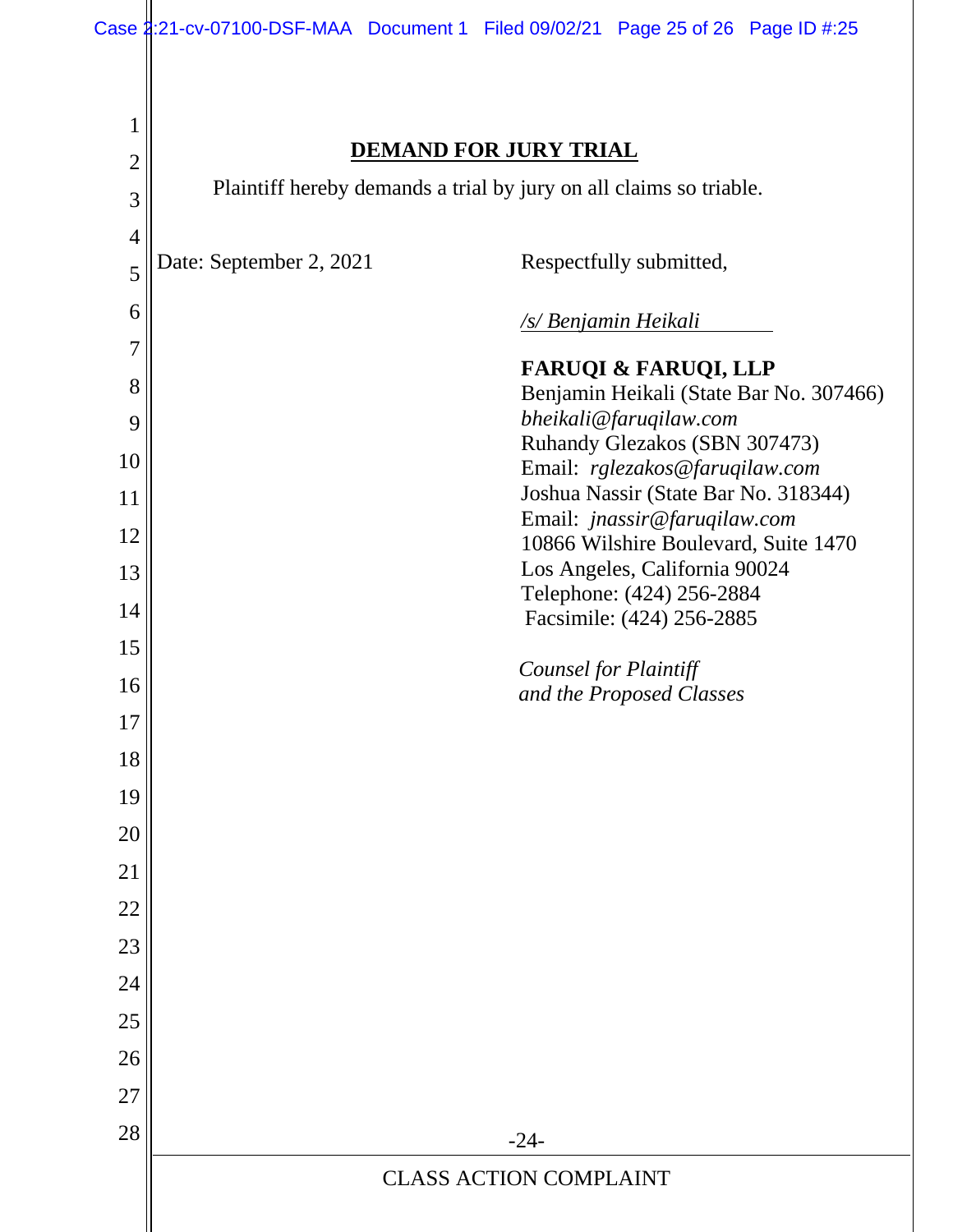